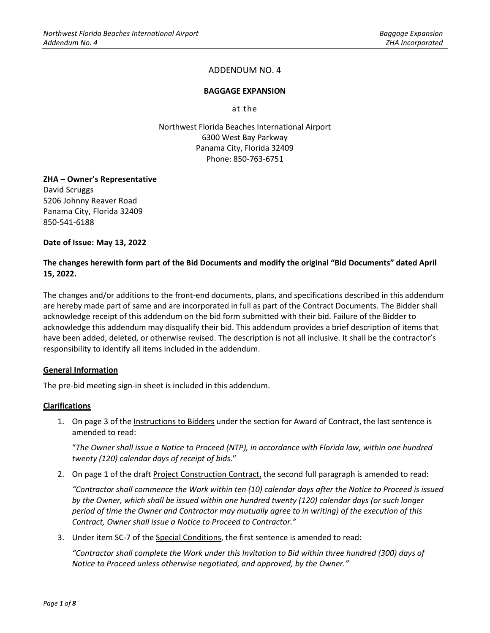## **BAGGAGE EXPANSION**

at the

Northwest Florida Beaches International Airport 6300 West Bay Parkway Panama City, Florida 32409 Phone: 850-763-6751

## **ZHA – Owner's Representative**

David Scruggs 5206 Johnny Reaver Road Panama City, Florida 32409 850-541-6188

**Date of Issue: May 13, 2022**

## **The changes herewith form part of the Bid Documents and modify the original "Bid Documents" dated April 15, 2022.**

The changes and/or additions to the front-end documents, plans, and specifications described in this addendum are hereby made part of same and are incorporated in full as part of the Contract Documents. The Bidder shall acknowledge receipt of this addendum on the bid form submitted with their bid. Failure of the Bidder to acknowledge this addendum may disqualify their bid. This addendum provides a brief description of items that have been added, deleted, or otherwise revised. The description is not all inclusive. It shall be the contractor's responsibility to identify all items included in the addendum.

#### **General Information**

The pre-bid meeting sign-in sheet is included in this addendum.

#### **Clarifications**

1. On page 3 of the Instructions to Bidders under the section for Award of Contract, the last sentence is amended to read:

"*The Owner shall issue a Notice to Proceed (NTP), in accordance with Florida law, within one hundred twenty (120) calendar days of receipt of bids*."

2. On page 1 of the draft Project Construction Contract, the second full paragraph is amended to read:

*"Contractor shall commence the Work within ten (10) calendar days after the Notice to Proceed is issued by the Owner, which shall be issued within one hundred twenty (120) calendar days (or such longer period of time the Owner and Contractor may mutually agree to in writing) of the execution of this Contract, Owner shall issue a Notice to Proceed to Contractor."*

3. Under item SC-7 of the Special Conditions, the first sentence is amended to read:

*"Contractor shall complete the Work under this Invitation to Bid within three hundred (300) days of Notice to Proceed unless otherwise negotiated, and approved, by the Owner."*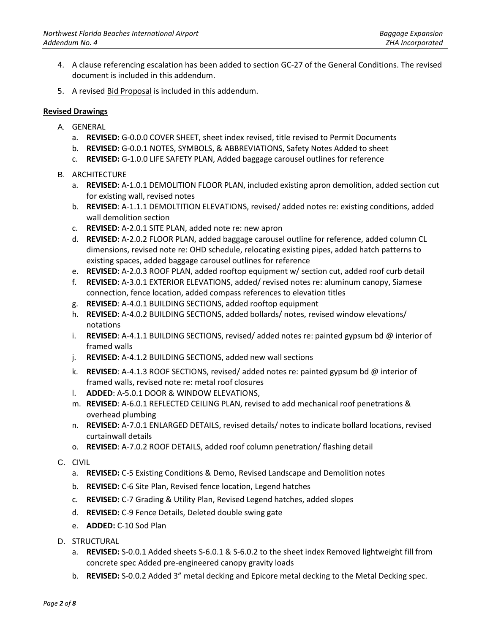- 4. A clause referencing escalation has been added to section GC-27 of the General Conditions. The revised document is included in this addendum.
- 5. A revised Bid Proposal is included in this addendum.

## **Revised Drawings**

- A. GENERAL
	- a. **REVISED:** G-0.0.0 COVER SHEET, sheet index revised, title revised to Permit Documents
	- b. **REVISED:** G-0.0.1 NOTES, SYMBOLS, & ABBREVIATIONS, Safety Notes Added to sheet
	- c. **REVISED:** G-1.0.0 LIFE SAFETY PLAN, Added baggage carousel outlines for reference
- B. ARCHITECTURE
	- a. **REVISED**: A-1.0.1 DEMOLITION FLOOR PLAN, included existing apron demolition, added section cut for existing wall, revised notes
	- b. **REVISED**: A-1.1.1 DEMOLTITION ELEVATIONS, revised/ added notes re: existing conditions, added wall demolition section
	- c. **REVISED**: A-2.0.1 SITE PLAN, added note re: new apron
	- d. **REVISED**: A-2.0.2 FLOOR PLAN, added baggage carousel outline for reference, added column CL dimensions, revised note re: OHD schedule, relocating existing pipes, added hatch patterns to existing spaces, added baggage carousel outlines for reference
	- e. **REVISED**: A-2.0.3 ROOF PLAN, added rooftop equipment w/ section cut, added roof curb detail
	- f. **REVISED**: A-3.0.1 EXTERIOR ELEVATIONS, added/ revised notes re: aluminum canopy, Siamese connection, fence location, added compass references to elevation titles
	- g. **REVISED**: A-4.0.1 BUILDING SECTIONS, added rooftop equipment
	- h. **REVISED**: A-4.0.2 BUILDING SECTIONS, added bollards/ notes, revised window elevations/ notations
	- i. **REVISED**: A-4.1.1 BUILDING SECTIONS, revised/ added notes re: painted gypsum bd @ interior of framed walls
	- j. **REVISED**: A-4.1.2 BUILDING SECTIONS, added new wall sections
	- k. **REVISED**: A-4.1.3 ROOF SECTIONS, revised/ added notes re: painted gypsum bd @ interior of framed walls, revised note re: metal roof closures
	- l. **ADDED**: A-5.0.1 DOOR & WINDOW ELEVATIONS,
	- m. **REVISED**: A-6.0.1 REFLECTED CEILING PLAN, revised to add mechanical roof penetrations & overhead plumbing
	- n. **REVISED**: A-7.0.1 ENLARGED DETAILS, revised details/ notes to indicate bollard locations, revised curtainwall details
	- o. **REVISED**: A-7.0.2 ROOF DETAILS, added roof column penetration/ flashing detail
- C. CIVIL
	- a. **REVISED:** C-5 Existing Conditions & Demo, Revised Landscape and Demolition notes
	- b. **REVISED:** C-6 Site Plan, Revised fence location, Legend hatches
	- c. **REVISED:** C-7 Grading & Utility Plan, Revised Legend hatches, added slopes
	- d. **REVISED:** C-9 Fence Details, Deleted double swing gate
	- e. **ADDED:** C-10 Sod Plan
- D. STRUCTURAL
	- a. **REVISED:** S-0.0.1 Added sheets S-6.0.1 & S-6.0.2 to the sheet index Removed lightweight fill from concrete spec Added pre-engineered canopy gravity loads
	- b. **REVISED:** S-0.0.2 Added 3" metal decking and Epicore metal decking to the Metal Decking spec.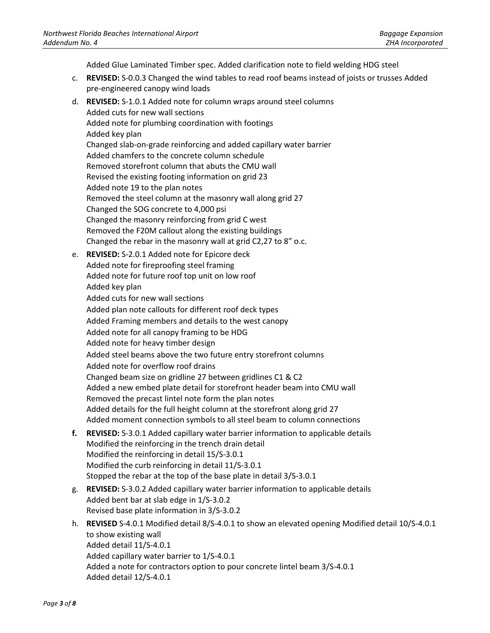Added Glue Laminated Timber spec. Added clarification note to field welding HDG steel

- c. **REVISED:** S-0.0.3 Changed the wind tables to read roof beams instead of joists or trusses Added pre-engineered canopy wind loads
- d. **REVISED:** S-1.0.1 Added note for column wraps around steel columns Added cuts for new wall sections Added note for plumbing coordination with footings Added key plan Changed slab-on-grade reinforcing and added capillary water barrier Added chamfers to the concrete column schedule Removed storefront column that abuts the CMU wall Revised the existing footing information on grid 23 Added note 19 to the plan notes Removed the steel column at the masonry wall along grid 27 Changed the SOG concrete to 4,000 psi Changed the masonry reinforcing from grid C west Removed the F20M callout along the existing buildings Changed the rebar in the masonry wall at grid C2,27 to 8" o.c. e. **REVISED:** S-2.0.1 Added note for Epicore deck Added note for fireproofing steel framing Added note for future roof top unit on low roof Added key plan Added cuts for new wall sections Added plan note callouts for different roof deck types Added Framing members and details to the west canopy Added note for all canopy framing to be HDG Added note for heavy timber design Added steel beams above the two future entry storefront columns Added note for overflow roof drains Changed beam size on gridline 27 between gridlines C1 & C2 Added a new embed plate detail for storefront header beam into CMU wall Removed the precast lintel note form the plan notes Added details for the full height column at the storefront along grid 27 Added moment connection symbols to all steel beam to column connections **f. REVISED:** S-3.0.1 Added capillary water barrier information to applicable details Modified the reinforcing in the trench drain detail Modified the reinforcing in detail 15/S-3.0.1 Modified the curb reinforcing in detail 11/S-3.0.1
	- Stopped the rebar at the top of the base plate in detail 3/S-3.0.1
- g. **REVISED:** S-3.0.2 Added capillary water barrier information to applicable details Added bent bar at slab edge in 1/S-3.0.2 Revised base plate information in 3/S-3.0.2
- h. **REVISED** S-4.0.1 Modified detail 8/S-4.0.1 to show an elevated opening Modified detail 10/S-4.0.1 to show existing wall Added detail 11/S-4.0.1 Added capillary water barrier to 1/S-4.0.1 Added a note for contractors option to pour concrete lintel beam 3/S-4.0.1 Added detail 12/S-4.0.1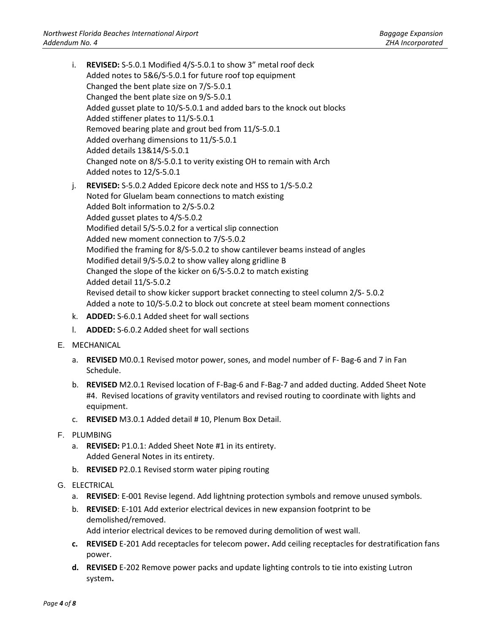- i. **REVISED:** S-5.0.1 Modified 4/S-5.0.1 to show 3" metal roof deck Added notes to 5&6/S-5.0.1 for future roof top equipment Changed the bent plate size on 7/S-5.0.1 Changed the bent plate size on 9/S-5.0.1 Added gusset plate to 10/S-5.0.1 and added bars to the knock out blocks Added stiffener plates to 11/S-5.0.1 Removed bearing plate and grout bed from 11/S-5.0.1 Added overhang dimensions to 11/S-5.0.1 Added details 13&14/S-5.0.1 Changed note on 8/S-5.0.1 to verity existing OH to remain with Arch Added notes to 12/S-5.0.1 j. **REVISED:** S-5.0.2 Added Epicore deck note and HSS to 1/S-5.0.2 Noted for Gluelam beam connections to match existing Added Bolt information to 2/S-5.0.2 Added gusset plates to 4/S-5.0.2 Modified detail 5/S-5.0.2 for a vertical slip connection Added new moment connection to 7/S-5.0.2 Modified the framing for 8/S-5.0.2 to show cantilever beams instead of angles Modified detail 9/S-5.0.2 to show valley along gridline B Changed the slope of the kicker on 6/S-5.0.2 to match existing Added detail 11/S-5.0.2 Revised detail to show kicker support bracket connecting to steel column 2/S- 5.0.2
	- Added a note to 10/S-5.0.2 to block out concrete at steel beam moment connections
- k. **ADDED:** S-6.0.1 Added sheet for wall sections
- l. **ADDED:** S-6.0.2 Added sheet for wall sections
- E. MECHANICAL
	- a. **REVISED** M0.0.1 Revised motor power, sones, and model number of F- Bag-6 and 7 in Fan Schedule.
	- b. **REVISED** M2.0.1 Revised location of F-Bag-6 and F-Bag-7 and added ducting. Added Sheet Note #4. Revised locations of gravity ventilators and revised routing to coordinate with lights and equipment.
	- c. **REVISED** M3.0.1 Added detail # 10, Plenum Box Detail.
- F. PLUMBING
	- a. **REVISED:** P1.0.1: Added Sheet Note #1 in its entirety. Added General Notes in its entirety.
	- b. **REVISED** P2.0.1 Revised storm water piping routing
- G. ELECTRICAL
	- a. **REVISED**: E-001 Revise legend. Add lightning protection symbols and remove unused symbols.
	- b. **REVISED**: E-101 Add exterior electrical devices in new expansion footprint to be demolished/removed.

Add interior electrical devices to be removed during demolition of west wall.

- **c. REVISED** E-201 Add receptacles for telecom power**.** Add ceiling receptacles for destratification fans power.
- **d. REVISED** E-202 Remove power packs and update lighting controls to tie into existing Lutron system**.**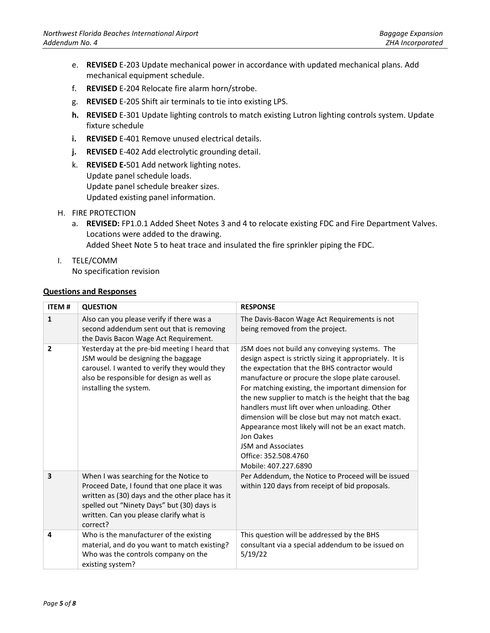- e. **REVISED** E-203 Update mechanical power in accordance with updated mechanical plans. Add mechanical equipment schedule.
- f. **REVISED** E-204 Relocate fire alarm horn/strobe.
- g. **REVISED** E-205 Shift air terminals to tie into existing LPS.
- **h. REVISED** E-301 Update lighting controls to match existing Lutron lighting controls system. Update fixture schedule
- **i. REVISED** E-401 Remove unused electrical details.
- **j. REVISED** E-402 Add electrolytic grounding detail.
- k. **REVISED E-**501 Add network lighting notes. Update panel schedule loads. Update panel schedule breaker sizes. Updated existing panel information.
- H. FIRE PROTECTION
	- a. **REVISED:** FP1.0.1 Added Sheet Notes 3 and 4 to relocate existing FDC and Fire Department Valves. Locations were added to the drawing. Added Sheet Note 5 to heat trace and insulated the fire sprinkler piping the FDC.
- I. TELE/COMM

No specification revision

#### **Questions and Responses**

| <b>ITEM#</b>            | <b>QUESTION</b>                                                                                                                                                                                                                               | <b>RESPONSE</b>                                                                                                                                                                                                                                                                                                                                                                                                                                                                                                                                                            |
|-------------------------|-----------------------------------------------------------------------------------------------------------------------------------------------------------------------------------------------------------------------------------------------|----------------------------------------------------------------------------------------------------------------------------------------------------------------------------------------------------------------------------------------------------------------------------------------------------------------------------------------------------------------------------------------------------------------------------------------------------------------------------------------------------------------------------------------------------------------------------|
| $\mathbf{1}$            | Also can you please verify if there was a<br>second addendum sent out that is removing<br>the Davis Bacon Wage Act Requirement.                                                                                                               | The Davis-Bacon Wage Act Requirements is not<br>being removed from the project.                                                                                                                                                                                                                                                                                                                                                                                                                                                                                            |
| $\overline{2}$          | Yesterday at the pre-bid meeting I heard that<br>JSM would be designing the baggage<br>carousel. I wanted to verify they would they<br>also be responsible for design as well as<br>installing the system.                                    | JSM does not build any conveying systems. The<br>design aspect is strictly sizing it appropriately. It is<br>the expectation that the BHS contractor would<br>manufacture or procure the slope plate carousel.<br>For matching existing, the important dimension for<br>the new supplier to match is the height that the bag<br>handlers must lift over when unloading. Other<br>dimension will be close but may not match exact.<br>Appearance most likely will not be an exact match.<br>Jon Oakes<br>JSM and Associates<br>Office: 352.508.4760<br>Mobile: 407.227.6890 |
| $\overline{\mathbf{3}}$ | When I was searching for the Notice to<br>Proceed Date, I found that one place it was<br>written as (30) days and the other place has it<br>spelled out "Ninety Days" but (30) days is<br>written. Can you please clarify what is<br>correct? | Per Addendum, the Notice to Proceed will be issued<br>within 120 days from receipt of bid proposals.                                                                                                                                                                                                                                                                                                                                                                                                                                                                       |
| 4                       | Who is the manufacturer of the existing<br>material, and do you want to match existing?<br>Who was the controls company on the<br>existing system?                                                                                            | This question will be addressed by the BHS<br>consultant via a special addendum to be issued on<br>5/19/22                                                                                                                                                                                                                                                                                                                                                                                                                                                                 |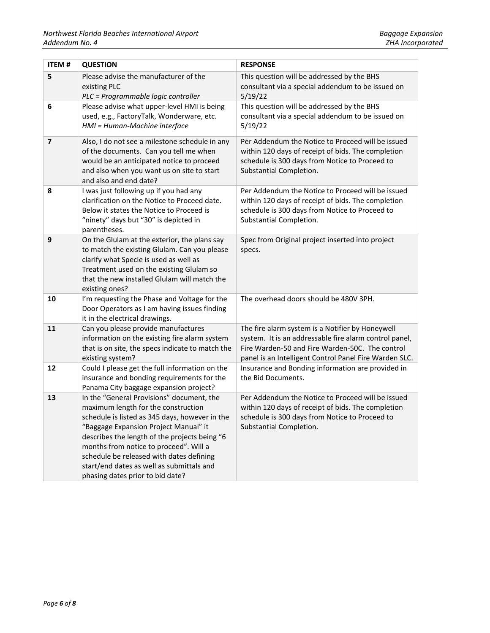| ITEM#                   | <b>QUESTION</b>                                                                                                                                                                                                                                                                                                                                                                                     | <b>RESPONSE</b>                                                                                                                                                                                                         |
|-------------------------|-----------------------------------------------------------------------------------------------------------------------------------------------------------------------------------------------------------------------------------------------------------------------------------------------------------------------------------------------------------------------------------------------------|-------------------------------------------------------------------------------------------------------------------------------------------------------------------------------------------------------------------------|
| 5                       | Please advise the manufacturer of the<br>existing PLC<br>PLC = Programmable logic controller                                                                                                                                                                                                                                                                                                        | This question will be addressed by the BHS<br>consultant via a special addendum to be issued on<br>5/19/22                                                                                                              |
| 6                       | Please advise what upper-level HMI is being<br>used, e.g., FactoryTalk, Wonderware, etc.<br>HMI = Human-Machine interface                                                                                                                                                                                                                                                                           | This question will be addressed by the BHS<br>consultant via a special addendum to be issued on<br>5/19/22                                                                                                              |
| $\overline{\mathbf{z}}$ | Also, I do not see a milestone schedule in any<br>of the documents. Can you tell me when<br>would be an anticipated notice to proceed<br>and also when you want us on site to start<br>and also and end date?                                                                                                                                                                                       | Per Addendum the Notice to Proceed will be issued<br>within 120 days of receipt of bids. The completion<br>schedule is 300 days from Notice to Proceed to<br>Substantial Completion.                                    |
| 8                       | I was just following up if you had any<br>clarification on the Notice to Proceed date.<br>Below it states the Notice to Proceed is<br>"ninety" days but "30" is depicted in<br>parentheses.                                                                                                                                                                                                         | Per Addendum the Notice to Proceed will be issued<br>within 120 days of receipt of bids. The completion<br>schedule is 300 days from Notice to Proceed to<br>Substantial Completion.                                    |
| $\boldsymbol{9}$        | On the Glulam at the exterior, the plans say<br>to match the existing Glulam. Can you please<br>clarify what Specie is used as well as<br>Treatment used on the existing Glulam so<br>that the new installed Glulam will match the<br>existing ones?                                                                                                                                                | Spec from Original project inserted into project<br>specs.                                                                                                                                                              |
| 10                      | I'm requesting the Phase and Voltage for the<br>Door Operators as I am having issues finding<br>it in the electrical drawings.                                                                                                                                                                                                                                                                      | The overhead doors should be 480V 3PH.                                                                                                                                                                                  |
| 11                      | Can you please provide manufactures<br>information on the existing fire alarm system<br>that is on site, the specs indicate to match the<br>existing system?                                                                                                                                                                                                                                        | The fire alarm system is a Notifier by Honeywell<br>system. It is an addressable fire alarm control panel,<br>Fire Warden-50 and Fire Warden-50C. The control<br>panel is an Intelligent Control Panel Fire Warden SLC. |
| 12                      | Could I please get the full information on the<br>insurance and bonding requirements for the<br>Panama City baggage expansion project?                                                                                                                                                                                                                                                              | Insurance and Bonding information are provided in<br>the Bid Documents.                                                                                                                                                 |
| 13                      | In the "General Provisions" document, the<br>maximum length for the construction<br>schedule is listed as 345 days, however in the<br>"Baggage Expansion Project Manual" it<br>describes the length of the projects being "6<br>months from notice to proceed". Will a<br>schedule be released with dates defining<br>start/end dates as well as submittals and<br>phasing dates prior to bid date? | Per Addendum the Notice to Proceed will be issued<br>within 120 days of receipt of bids. The completion<br>schedule is 300 days from Notice to Proceed to<br>Substantial Completion.                                    |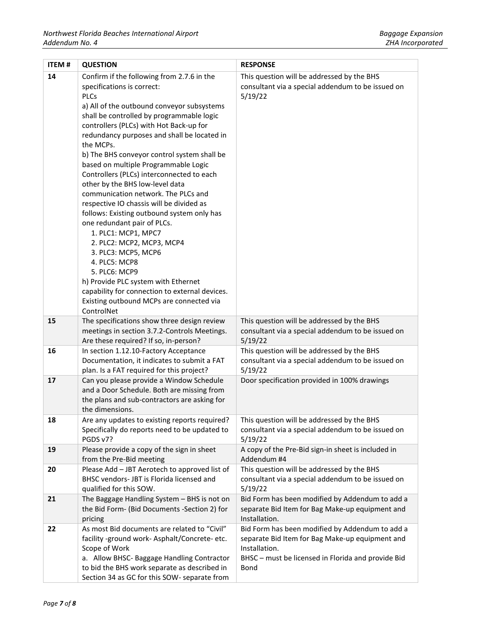| <b>ITEM#</b> | <b>QUESTION</b>                                                                                                                                                                                                                                                                                                                                                                                                                                                                                                                                                                                                                                                                                                                                                                                                                                                                                  | <b>RESPONSE</b>                                                                                                                                                                   |
|--------------|--------------------------------------------------------------------------------------------------------------------------------------------------------------------------------------------------------------------------------------------------------------------------------------------------------------------------------------------------------------------------------------------------------------------------------------------------------------------------------------------------------------------------------------------------------------------------------------------------------------------------------------------------------------------------------------------------------------------------------------------------------------------------------------------------------------------------------------------------------------------------------------------------|-----------------------------------------------------------------------------------------------------------------------------------------------------------------------------------|
| 14           | Confirm if the following from 2.7.6 in the<br>specifications is correct:<br><b>PLCs</b><br>a) All of the outbound conveyor subsystems<br>shall be controlled by programmable logic<br>controllers (PLCs) with Hot Back-up for<br>redundancy purposes and shall be located in<br>the MCPs.<br>b) The BHS conveyor control system shall be<br>based on multiple Programmable Logic<br>Controllers (PLCs) interconnected to each<br>other by the BHS low-level data<br>communication network. The PLCs and<br>respective IO chassis will be divided as<br>follows: Existing outbound system only has<br>one redundant pair of PLCs.<br>1. PLC1: MCP1, MPC7<br>2. PLC2: MCP2, MCP3, MCP4<br>3. PLC3: MCP5, MCP6<br>4. PLC5: MCP8<br>5. PLC6: MCP9<br>h) Provide PLC system with Ethernet<br>capability for connection to external devices.<br>Existing outbound MCPs are connected via<br>ControlNet | This question will be addressed by the BHS<br>consultant via a special addendum to be issued on<br>5/19/22                                                                        |
| 15           | The specifications show three design review<br>meetings in section 3.7.2-Controls Meetings.<br>Are these required? If so, in-person?                                                                                                                                                                                                                                                                                                                                                                                                                                                                                                                                                                                                                                                                                                                                                             | This question will be addressed by the BHS<br>consultant via a special addendum to be issued on<br>5/19/22                                                                        |
| 16           | In section 1.12.10-Factory Acceptance<br>Documentation, it indicates to submit a FAT<br>plan. Is a FAT required for this project?                                                                                                                                                                                                                                                                                                                                                                                                                                                                                                                                                                                                                                                                                                                                                                | This question will be addressed by the BHS<br>consultant via a special addendum to be issued on<br>5/19/22                                                                        |
| 17           | Can you please provide a Window Schedule<br>and a Door Schedule. Both are missing from<br>the plans and sub-contractors are asking for<br>the dimensions.                                                                                                                                                                                                                                                                                                                                                                                                                                                                                                                                                                                                                                                                                                                                        | Door specification provided in 100% drawings                                                                                                                                      |
| 18           | Are any updates to existing reports required?<br>Specifically do reports need to be updated to<br>PGDS v7?                                                                                                                                                                                                                                                                                                                                                                                                                                                                                                                                                                                                                                                                                                                                                                                       | This question will be addressed by the BHS<br>consultant via a special addendum to be issued on<br>5/19/22                                                                        |
| 19           | Please provide a copy of the sign in sheet<br>from the Pre-Bid meeting                                                                                                                                                                                                                                                                                                                                                                                                                                                                                                                                                                                                                                                                                                                                                                                                                           | A copy of the Pre-Bid sign-in sheet is included in<br>Addendum #4                                                                                                                 |
| 20           | Please Add - JBT Aerotech to approved list of<br>BHSC vendors- JBT is Florida licensed and<br>qualified for this SOW.                                                                                                                                                                                                                                                                                                                                                                                                                                                                                                                                                                                                                                                                                                                                                                            | This question will be addressed by the BHS<br>consultant via a special addendum to be issued on<br>5/19/22                                                                        |
| 21           | The Baggage Handling System - BHS is not on<br>the Bid Form- (Bid Documents -Section 2) for<br>pricing                                                                                                                                                                                                                                                                                                                                                                                                                                                                                                                                                                                                                                                                                                                                                                                           | Bid Form has been modified by Addendum to add a<br>separate Bid Item for Bag Make-up equipment and<br>Installation.                                                               |
| 22           | As most Bid documents are related to "Civil"<br>facility -ground work- Asphalt/Concrete-etc.<br>Scope of Work<br>a. Allow BHSC- Baggage Handling Contractor<br>to bid the BHS work separate as described in<br>Section 34 as GC for this SOW- separate from                                                                                                                                                                                                                                                                                                                                                                                                                                                                                                                                                                                                                                      | Bid Form has been modified by Addendum to add a<br>separate Bid Item for Bag Make-up equipment and<br>Installation.<br>BHSC - must be licensed in Florida and provide Bid<br>Bond |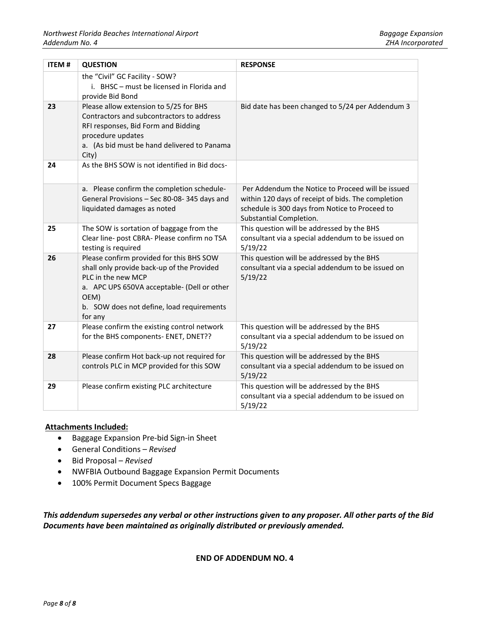| <b>ITEM#</b> | <b>QUESTION</b>                                                                                                                                                                                                             | <b>RESPONSE</b>                                                                                                                                                                      |
|--------------|-----------------------------------------------------------------------------------------------------------------------------------------------------------------------------------------------------------------------------|--------------------------------------------------------------------------------------------------------------------------------------------------------------------------------------|
|              | the "Civil" GC Facility - SOW?<br>i. BHSC - must be licensed in Florida and<br>provide Bid Bond                                                                                                                             |                                                                                                                                                                                      |
| 23           | Please allow extension to 5/25 for BHS<br>Contractors and subcontractors to address<br>RFI responses, Bid Form and Bidding<br>procedure updates<br>a. (As bid must be hand delivered to Panama<br>City)                     | Bid date has been changed to 5/24 per Addendum 3                                                                                                                                     |
| 24           | As the BHS SOW is not identified in Bid docs-                                                                                                                                                                               |                                                                                                                                                                                      |
|              | a. Please confirm the completion schedule-<br>General Provisions - Sec 80-08-345 days and<br>liquidated damages as noted                                                                                                    | Per Addendum the Notice to Proceed will be issued<br>within 120 days of receipt of bids. The completion<br>schedule is 300 days from Notice to Proceed to<br>Substantial Completion. |
| 25           | The SOW is sortation of baggage from the<br>Clear line- post CBRA- Please confirm no TSA<br>testing is required                                                                                                             | This question will be addressed by the BHS<br>consultant via a special addendum to be issued on<br>5/19/22                                                                           |
| 26           | Please confirm provided for this BHS SOW<br>shall only provide back-up of the Provided<br>PLC in the new MCP<br>a. APC UPS 650VA acceptable- (Dell or other<br>OEM)<br>b. SOW does not define, load requirements<br>for any | This question will be addressed by the BHS<br>consultant via a special addendum to be issued on<br>5/19/22                                                                           |
| 27           | Please confirm the existing control network<br>for the BHS components- ENET, DNET??                                                                                                                                         | This question will be addressed by the BHS<br>consultant via a special addendum to be issued on<br>5/19/22                                                                           |
| 28           | Please confirm Hot back-up not required for<br>controls PLC in MCP provided for this SOW                                                                                                                                    | This question will be addressed by the BHS<br>consultant via a special addendum to be issued on<br>5/19/22                                                                           |
| 29           | Please confirm existing PLC architecture                                                                                                                                                                                    | This question will be addressed by the BHS<br>consultant via a special addendum to be issued on<br>5/19/22                                                                           |

#### **Attachments Included:**

- Baggage Expansion Pre-bid Sign-in Sheet
- General Conditions *Revised*
- Bid Proposal *Revised*
- NWFBIA Outbound Baggage Expansion Permit Documents
- 100% Permit Document Specs Baggage

*This addendum supersedes any verbal or other instructions given to any proposer. All other parts of the Bid Documents have been maintained as originally distributed or previously amended.*

**END OF ADDENDUM NO. 4**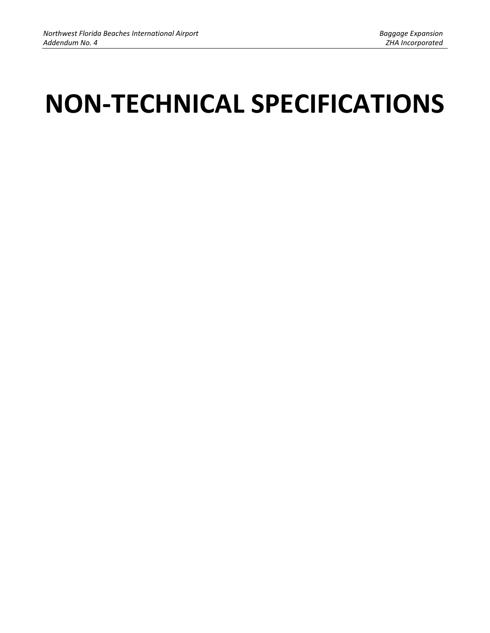# **NON-TECHNICAL SPECIFICATIONS**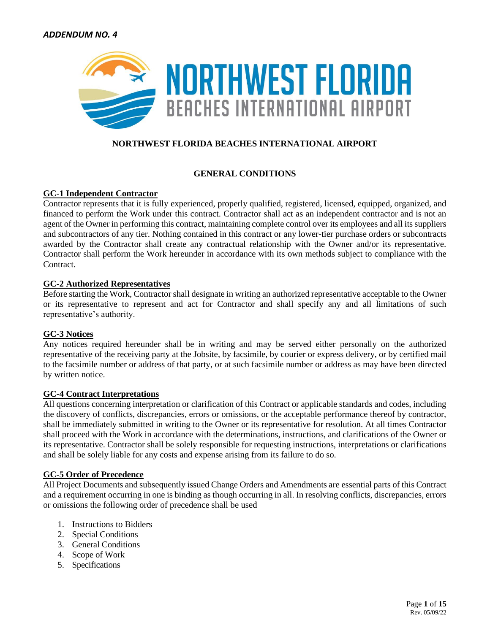

# **NORTHWEST FLORIDA BEACHES INTERNATIONAL AIRPORT**

# **GENERAL CONDITIONS**

## **GC-1 Independent Contractor**

Contractor represents that it is fully experienced, properly qualified, registered, licensed, equipped, organized, and financed to perform the Work under this contract. Contractor shall act as an independent contractor and is not an agent of the Owner in performing this contract, maintaining complete control over its employees and all its suppliers and subcontractors of any tier. Nothing contained in this contract or any lower-tier purchase orders or subcontracts awarded by the Contractor shall create any contractual relationship with the Owner and/or its representative. Contractor shall perform the Work hereunder in accordance with its own methods subject to compliance with the Contract.

## **GC-2 Authorized Representatives**

Before starting the Work, Contractor shall designate in writing an authorized representative acceptable to the Owner or its representative to represent and act for Contractor and shall specify any and all limitations of such representative's authority.

## **GC-3 Notices**

Any notices required hereunder shall be in writing and may be served either personally on the authorized representative of the receiving party at the Jobsite, by facsimile, by courier or express delivery, or by certified mail to the facsimile number or address of that party, or at such facsimile number or address as may have been directed by written notice.

## **GC-4 Contract Interpretations**

All questions concerning interpretation or clarification of this Contract or applicable standards and codes, including the discovery of conflicts, discrepancies, errors or omissions, or the acceptable performance thereof by contractor, shall be immediately submitted in writing to the Owner or its representative for resolution. At all times Contractor shall proceed with the Work in accordance with the determinations, instructions, and clarifications of the Owner or its representative. Contractor shall be solely responsible for requesting instructions, interpretations or clarifications and shall be solely liable for any costs and expense arising from its failure to do so.

## **GC-5 Order of Precedence**

All Project Documents and subsequently issued Change Orders and Amendments are essential parts of this Contract and a requirement occurring in one is binding as though occurring in all. In resolving conflicts, discrepancies, errors or omissions the following order of precedence shall be used

- 1. Instructions to Bidders
- 2. Special Conditions
- 3. General Conditions
- 4. Scope of Work
- 5. Specifications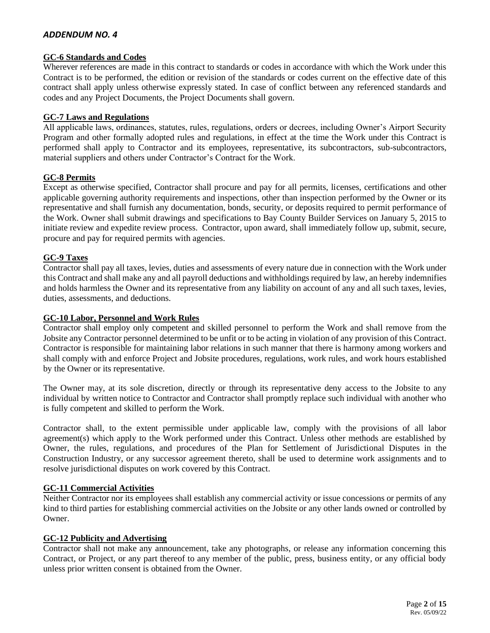## **GC-6 Standards and Codes**

Wherever references are made in this contract to standards or codes in accordance with which the Work under this Contract is to be performed, the edition or revision of the standards or codes current on the effective date of this contract shall apply unless otherwise expressly stated. In case of conflict between any referenced standards and codes and any Project Documents, the Project Documents shall govern.

## **GC-7 Laws and Regulations**

All applicable laws, ordinances, statutes, rules, regulations, orders or decrees, including Owner's Airport Security Program and other formally adopted rules and regulations, in effect at the time the Work under this Contract is performed shall apply to Contractor and its employees, representative, its subcontractors, sub-subcontractors, material suppliers and others under Contractor's Contract for the Work.

# **GC-8 Permits**

Except as otherwise specified, Contractor shall procure and pay for all permits, licenses, certifications and other applicable governing authority requirements and inspections, other than inspection performed by the Owner or its representative and shall furnish any documentation, bonds, security, or deposits required to permit performance of the Work. Owner shall submit drawings and specifications to Bay County Builder Services on January 5, 2015 to initiate review and expedite review process. Contractor, upon award, shall immediately follow up, submit, secure, procure and pay for required permits with agencies.

# **GC-9 Taxes**

Contractor shall pay all taxes, levies, duties and assessments of every nature due in connection with the Work under this Contract and shall make any and all payroll deductions and withholdings required by law, an hereby indemnifies and holds harmless the Owner and its representative from any liability on account of any and all such taxes, levies, duties, assessments, and deductions.

#### **GC-10 Labor, Personnel and Work Rules**

Contractor shall employ only competent and skilled personnel to perform the Work and shall remove from the Jobsite any Contractor personnel determined to be unfit or to be acting in violation of any provision of this Contract. Contractor is responsible for maintaining labor relations in such manner that there is harmony among workers and shall comply with and enforce Project and Jobsite procedures, regulations, work rules, and work hours established by the Owner or its representative.

The Owner may, at its sole discretion, directly or through its representative deny access to the Jobsite to any individual by written notice to Contractor and Contractor shall promptly replace such individual with another who is fully competent and skilled to perform the Work.

Contractor shall, to the extent permissible under applicable law, comply with the provisions of all labor agreement(s) which apply to the Work performed under this Contract. Unless other methods are established by Owner, the rules, regulations, and procedures of the Plan for Settlement of Jurisdictional Disputes in the Construction Industry, or any successor agreement thereto, shall be used to determine work assignments and to resolve jurisdictional disputes on work covered by this Contract.

## **GC-11 Commercial Activities**

Neither Contractor nor its employees shall establish any commercial activity or issue concessions or permits of any kind to third parties for establishing commercial activities on the Jobsite or any other lands owned or controlled by Owner.

## **GC-12 Publicity and Advertising**

Contractor shall not make any announcement, take any photographs, or release any information concerning this Contract, or Project, or any part thereof to any member of the public, press, business entity, or any official body unless prior written consent is obtained from the Owner.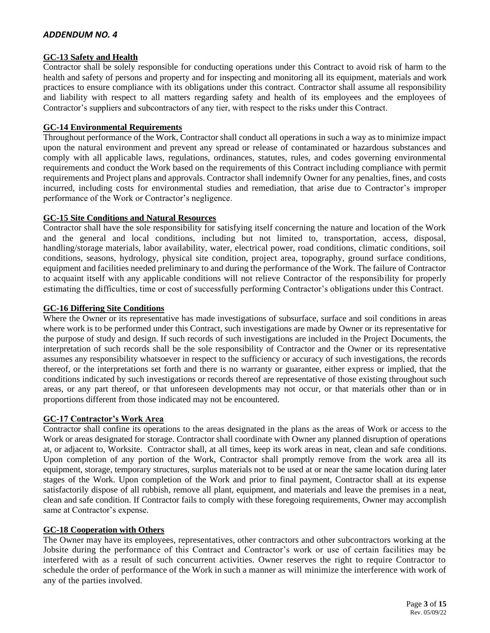## **GC-13 Safety and Health**

Contractor shall be solely responsible for conducting operations under this Contract to avoid risk of harm to the health and safety of persons and property and for inspecting and monitoring all its equipment, materials and work practices to ensure compliance with its obligations under this contract. Contractor shall assume all responsibility and liability with respect to all matters regarding safety and health of its employees and the employees of Contractor's suppliers and subcontractors of any tier, with respect to the risks under this Contract.

## **GC-14 Environmental Requirements**

Throughout performance of the Work, Contractor shall conduct all operations in such a way as to minimize impact upon the natural environment and prevent any spread or release of contaminated or hazardous substances and comply with all applicable laws, regulations, ordinances, statutes, rules, and codes governing environmental requirements and conduct the Work based on the requirements of this Contract including compliance with permit requirements and Project plans and approvals. Contractor shall indemnify Owner for any penalties, fines, and costs incurred, including costs for environmental studies and remediation, that arise due to Contractor's improper performance of the Work or Contractor's negligence.

## **GC-15 Site Conditions and Natural Resources**

Contractor shall have the sole responsibility for satisfying itself concerning the nature and location of the Work and the general and local conditions, including but not limited to, transportation, access, disposal, handling/storage materials, labor availability, water, electrical power, road conditions, climatic conditions, soil conditions, seasons, hydrology, physical site condition, project area, topography, ground surface conditions, equipment and facilities needed preliminary to and during the performance of the Work. The failure of Contractor to acquaint itself with any applicable conditions will not relieve Contractor of the responsibility for properly estimating the difficulties, time or cost of successfully performing Contractor's obligations under this Contract.

## **GC-16 Differing Site Conditions**

Where the Owner or its representative has made investigations of subsurface, surface and soil conditions in areas where work is to be performed under this Contract, such investigations are made by Owner or its representative for the purpose of study and design. If such records of such investigations are included in the Project Documents, the interpretation of such records shall be the sole responsibility of Contractor and the Owner or its representative assumes any responsibility whatsoever in respect to the sufficiency or accuracy of such investigations, the records thereof, or the interpretations set forth and there is no warranty or guarantee, either express or implied, that the conditions indicated by such investigations or records thereof are representative of those existing throughout such areas, or any part thereof, or that unforeseen developments may not occur, or that materials other than or in proportions different from those indicated may not be encountered.

## **GC-17 Contractor's Work Area**

Contractor shall confine its operations to the areas designated in the plans as the areas of Work or access to the Work or areas designated for storage. Contractor shall coordinate with Owner any planned disruption of operations at, or adjacent to, Worksite. Contractor shall, at all times, keep its work areas in neat, clean and safe conditions. Upon completion of any portion of the Work, Contractor shall promptly remove from the work area all its equipment, storage, temporary structures, surplus materials not to be used at or near the same location during later stages of the Work. Upon completion of the Work and prior to final payment, Contractor shall at its expense satisfactorily dispose of all rubbish, remove all plant, equipment, and materials and leave the premises in a neat, clean and safe condition. If Contractor fails to comply with these foregoing requirements, Owner may accomplish same at Contractor's expense.

#### **GC-18 Cooperation with Others**

The Owner may have its employees, representatives, other contractors and other subcontractors working at the Jobsite during the performance of this Contract and Contractor's work or use of certain facilities may be interfered with as a result of such concurrent activities. Owner reserves the right to require Contractor to schedule the order of performance of the Work in such a manner as will minimize the interference with work of any of the parties involved.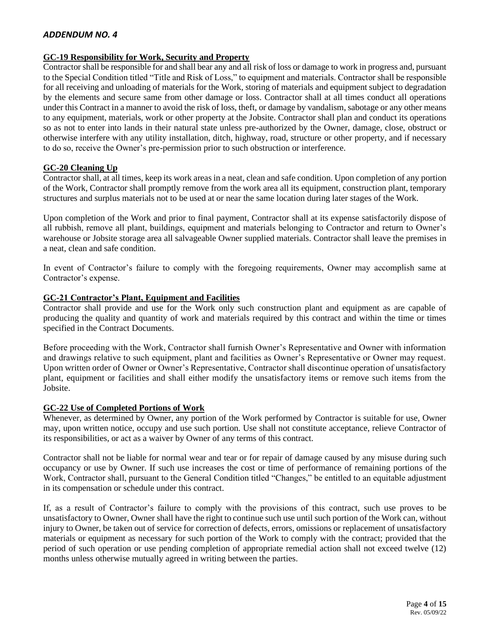## **GC-19 Responsibility for Work, Security and Property**

Contractor shall be responsible for and shall bear any and all risk of loss or damage to work in progress and, pursuant to the Special Condition titled "Title and Risk of Loss," to equipment and materials. Contractor shall be responsible for all receiving and unloading of materials for the Work, storing of materials and equipment subject to degradation by the elements and secure same from other damage or loss. Contractor shall at all times conduct all operations under this Contract in a manner to avoid the risk of loss, theft, or damage by vandalism, sabotage or any other means to any equipment, materials, work or other property at the Jobsite. Contractor shall plan and conduct its operations so as not to enter into lands in their natural state unless pre-authorized by the Owner, damage, close, obstruct or otherwise interfere with any utility installation, ditch, highway, road, structure or other property, and if necessary to do so, receive the Owner's pre-permission prior to such obstruction or interference.

## **GC-20 Cleaning Up**

Contractor shall, at all times, keep its work areas in a neat, clean and safe condition. Upon completion of any portion of the Work, Contractor shall promptly remove from the work area all its equipment, construction plant, temporary structures and surplus materials not to be used at or near the same location during later stages of the Work.

Upon completion of the Work and prior to final payment, Contractor shall at its expense satisfactorily dispose of all rubbish, remove all plant, buildings, equipment and materials belonging to Contractor and return to Owner's warehouse or Jobsite storage area all salvageable Owner supplied materials. Contractor shall leave the premises in a neat, clean and safe condition.

In event of Contractor's failure to comply with the foregoing requirements, Owner may accomplish same at Contractor's expense.

## **GC-21 Contractor's Plant, Equipment and Facilities**

Contractor shall provide and use for the Work only such construction plant and equipment as are capable of producing the quality and quantity of work and materials required by this contract and within the time or times specified in the Contract Documents.

Before proceeding with the Work, Contractor shall furnish Owner's Representative and Owner with information and drawings relative to such equipment, plant and facilities as Owner's Representative or Owner may request. Upon written order of Owner or Owner's Representative, Contractor shall discontinue operation of unsatisfactory plant, equipment or facilities and shall either modify the unsatisfactory items or remove such items from the Jobsite.

#### **GC-22 Use of Completed Portions of Work**

Whenever, as determined by Owner, any portion of the Work performed by Contractor is suitable for use, Owner may, upon written notice, occupy and use such portion. Use shall not constitute acceptance, relieve Contractor of its responsibilities, or act as a waiver by Owner of any terms of this contract.

Contractor shall not be liable for normal wear and tear or for repair of damage caused by any misuse during such occupancy or use by Owner. If such use increases the cost or time of performance of remaining portions of the Work, Contractor shall, pursuant to the General Condition titled "Changes," be entitled to an equitable adjustment in its compensation or schedule under this contract.

If, as a result of Contractor's failure to comply with the provisions of this contract, such use proves to be unsatisfactory to Owner, Owner shall have the right to continue such use until such portion of the Work can, without injury to Owner, be taken out of service for correction of defects, errors, omissions or replacement of unsatisfactory materials or equipment as necessary for such portion of the Work to comply with the contract; provided that the period of such operation or use pending completion of appropriate remedial action shall not exceed twelve (12) months unless otherwise mutually agreed in writing between the parties.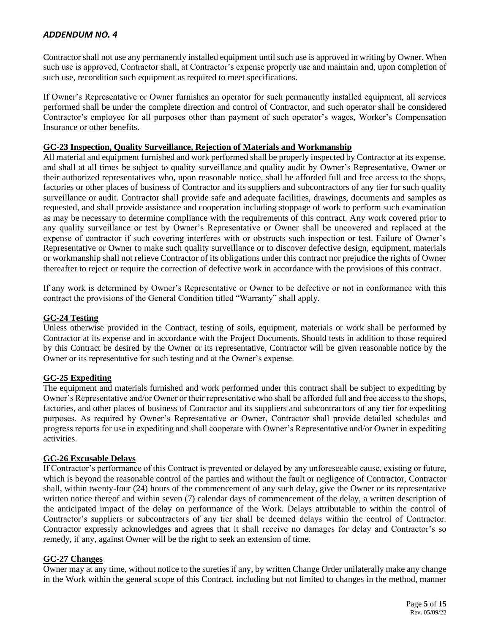Contractor shall not use any permanently installed equipment until such use is approved in writing by Owner. When such use is approved, Contractor shall, at Contractor's expense properly use and maintain and, upon completion of such use, recondition such equipment as required to meet specifications.

If Owner's Representative or Owner furnishes an operator for such permanently installed equipment, all services performed shall be under the complete direction and control of Contractor, and such operator shall be considered Contractor's employee for all purposes other than payment of such operator's wages, Worker's Compensation Insurance or other benefits.

# **GC-23 Inspection, Quality Surveillance, Rejection of Materials and Workmanship**

All material and equipment furnished and work performed shall be properly inspected by Contractor at its expense, and shall at all times be subject to quality surveillance and quality audit by Owner's Representative, Owner or their authorized representatives who, upon reasonable notice, shall be afforded full and free access to the shops, factories or other places of business of Contractor and its suppliers and subcontractors of any tier for such quality surveillance or audit. Contractor shall provide safe and adequate facilities, drawings, documents and samples as requested, and shall provide assistance and cooperation including stoppage of work to perform such examination as may be necessary to determine compliance with the requirements of this contract. Any work covered prior to any quality surveillance or test by Owner's Representative or Owner shall be uncovered and replaced at the expense of contractor if such covering interferes with or obstructs such inspection or test. Failure of Owner's Representative or Owner to make such quality surveillance or to discover defective design, equipment, materials or workmanship shall not relieve Contractor of its obligations under this contract nor prejudice the rights of Owner thereafter to reject or require the correction of defective work in accordance with the provisions of this contract.

If any work is determined by Owner's Representative or Owner to be defective or not in conformance with this contract the provisions of the General Condition titled "Warranty" shall apply.

## **GC-24 Testing**

Unless otherwise provided in the Contract, testing of soils, equipment, materials or work shall be performed by Contractor at its expense and in accordance with the Project Documents. Should tests in addition to those required by this Contract be desired by the Owner or its representative, Contractor will be given reasonable notice by the Owner or its representative for such testing and at the Owner's expense.

## **GC-25 Expediting**

The equipment and materials furnished and work performed under this contract shall be subject to expediting by Owner's Representative and/or Owner or their representative who shall be afforded full and free access to the shops, factories, and other places of business of Contractor and its suppliers and subcontractors of any tier for expediting purposes. As required by Owner's Representative or Owner, Contractor shall provide detailed schedules and progress reports for use in expediting and shall cooperate with Owner's Representative and/or Owner in expediting activities.

## **GC-26 Excusable Delays**

If Contractor's performance of this Contract is prevented or delayed by any unforeseeable cause, existing or future, which is beyond the reasonable control of the parties and without the fault or negligence of Contractor, Contractor shall, within twenty-four (24) hours of the commencement of any such delay, give the Owner or its representative written notice thereof and within seven (7) calendar days of commencement of the delay, a written description of the anticipated impact of the delay on performance of the Work. Delays attributable to within the control of Contractor's suppliers or subcontractors of any tier shall be deemed delays within the control of Contractor. Contractor expressly acknowledges and agrees that it shall receive no damages for delay and Contractor's so remedy, if any, against Owner will be the right to seek an extension of time.

## **GC-27 Changes**

Owner may at any time, without notice to the sureties if any, by written Change Order unilaterally make any change in the Work within the general scope of this Contract, including but not limited to changes in the method, manner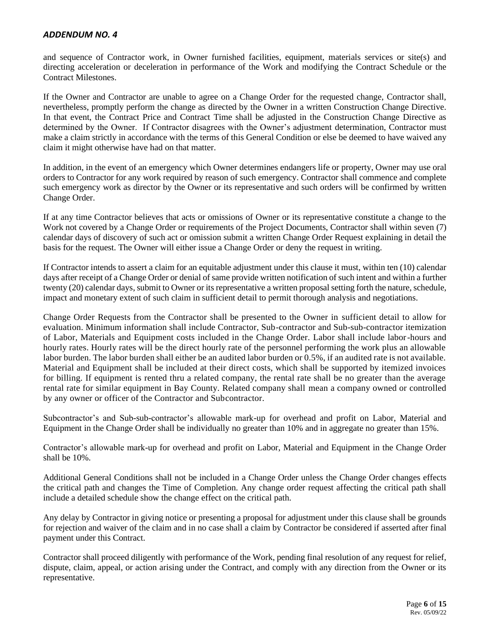and sequence of Contractor work, in Owner furnished facilities, equipment, materials services or site(s) and directing acceleration or deceleration in performance of the Work and modifying the Contract Schedule or the Contract Milestones.

If the Owner and Contractor are unable to agree on a Change Order for the requested change, Contractor shall, nevertheless, promptly perform the change as directed by the Owner in a written Construction Change Directive. In that event, the Contract Price and Contract Time shall be adjusted in the Construction Change Directive as determined by the Owner. If Contractor disagrees with the Owner's adjustment determination, Contractor must make a claim strictly in accordance with the terms of this General Condition or else be deemed to have waived any claim it might otherwise have had on that matter.

In addition, in the event of an emergency which Owner determines endangers life or property, Owner may use oral orders to Contractor for any work required by reason of such emergency. Contractor shall commence and complete such emergency work as director by the Owner or its representative and such orders will be confirmed by written Change Order.

If at any time Contractor believes that acts or omissions of Owner or its representative constitute a change to the Work not covered by a Change Order or requirements of the Project Documents, Contractor shall within seven (7) calendar days of discovery of such act or omission submit a written Change Order Request explaining in detail the basis for the request. The Owner will either issue a Change Order or deny the request in writing.

If Contractor intends to assert a claim for an equitable adjustment under this clause it must, within ten (10) calendar days after receipt of a Change Order or denial of same provide written notification of such intent and within a further twenty (20) calendar days, submit to Owner or its representative a written proposal setting forth the nature, schedule, impact and monetary extent of such claim in sufficient detail to permit thorough analysis and negotiations.

Change Order Requests from the Contractor shall be presented to the Owner in sufficient detail to allow for evaluation. Minimum information shall include Contractor, Sub-contractor and Sub-sub-contractor itemization of Labor, Materials and Equipment costs included in the Change Order. Labor shall include labor-hours and hourly rates. Hourly rates will be the direct hourly rate of the personnel performing the work plus an allowable labor burden. The labor burden shall either be an audited labor burden or 0.5%, if an audited rate is not available. Material and Equipment shall be included at their direct costs, which shall be supported by itemized invoices for billing. If equipment is rented thru a related company, the rental rate shall be no greater than the average rental rate for similar equipment in Bay County. Related company shall mean a company owned or controlled by any owner or officer of the Contractor and Subcontractor.

Subcontractor's and Sub-sub-contractor's allowable mark-up for overhead and profit on Labor, Material and Equipment in the Change Order shall be individually no greater than 10% and in aggregate no greater than 15%.

Contractor's allowable mark-up for overhead and profit on Labor, Material and Equipment in the Change Order shall be 10%.

Additional General Conditions shall not be included in a Change Order unless the Change Order changes effects the critical path and changes the Time of Completion. Any change order request affecting the critical path shall include a detailed schedule show the change effect on the critical path.

Any delay by Contractor in giving notice or presenting a proposal for adjustment under this clause shall be grounds for rejection and waiver of the claim and in no case shall a claim by Contractor be considered if asserted after final payment under this Contract.

Contractor shall proceed diligently with performance of the Work, pending final resolution of any request for relief, dispute, claim, appeal, or action arising under the Contract, and comply with any direction from the Owner or its representative.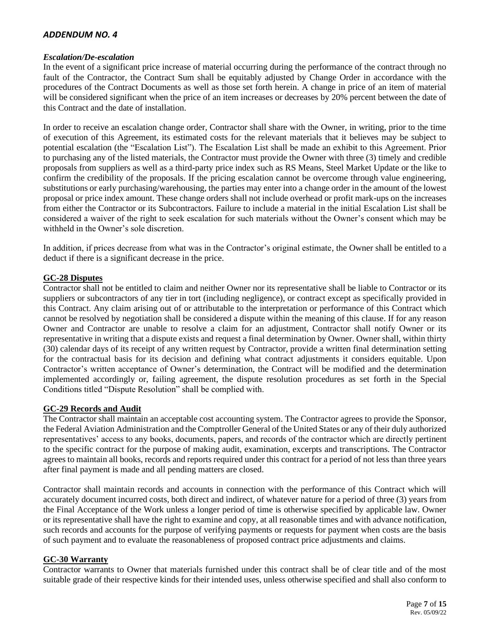## *Escalation/De-escalation*

In the event of a significant price increase of material occurring during the performance of the contract through no fault of the Contractor, the Contract Sum shall be equitably adjusted by Change Order in accordance with the procedures of the Contract Documents as well as those set forth herein. A change in price of an item of material will be considered significant when the price of an item increases or decreases by 20% percent between the date of this Contract and the date of installation.

In order to receive an escalation change order, Contractor shall share with the Owner, in writing, prior to the time of execution of this Agreement, its estimated costs for the relevant materials that it believes may be subject to potential escalation (the "Escalation List"). The Escalation List shall be made an exhibit to this Agreement. Prior to purchasing any of the listed materials, the Contractor must provide the Owner with three (3) timely and credible proposals from suppliers as well as a third-party price index such as RS Means, Steel Market Update or the like to confirm the credibility of the proposals. If the pricing escalation cannot be overcome through value engineering, substitutions or early purchasing/warehousing, the parties may enter into a change order in the amount of the lowest proposal or price index amount. These change orders shall not include overhead or profit mark-ups on the increases from either the Contractor or its Subcontractors. Failure to include a material in the initial Escalation List shall be considered a waiver of the right to seek escalation for such materials without the Owner's consent which may be withheld in the Owner's sole discretion.

In addition, if prices decrease from what was in the Contractor's original estimate, the Owner shall be entitled to a deduct if there is a significant decrease in the price.

## **GC-28 Disputes**

Contractor shall not be entitled to claim and neither Owner nor its representative shall be liable to Contractor or its suppliers or subcontractors of any tier in tort (including negligence), or contract except as specifically provided in this Contract. Any claim arising out of or attributable to the interpretation or performance of this Contract which cannot be resolved by negotiation shall be considered a dispute within the meaning of this clause. If for any reason Owner and Contractor are unable to resolve a claim for an adjustment, Contractor shall notify Owner or its representative in writing that a dispute exists and request a final determination by Owner. Owner shall, within thirty (30) calendar days of its receipt of any written request by Contractor, provide a written final determination setting for the contractual basis for its decision and defining what contract adjustments it considers equitable. Upon Contractor's written acceptance of Owner's determination, the Contract will be modified and the determination implemented accordingly or, failing agreement, the dispute resolution procedures as set forth in the Special Conditions titled "Dispute Resolution" shall be complied with.

## **GC-29 Records and Audit**

The Contractor shall maintain an acceptable cost accounting system. The Contractor agrees to provide the Sponsor, the Federal Aviation Administration and the Comptroller General of the United States or any of their duly authorized representatives' access to any books, documents, papers, and records of the contractor which are directly pertinent to the specific contract for the purpose of making audit, examination, excerpts and transcriptions. The Contractor agrees to maintain all books, records and reports required under this contract for a period of not less than three years after final payment is made and all pending matters are closed.

Contractor shall maintain records and accounts in connection with the performance of this Contract which will accurately document incurred costs, both direct and indirect, of whatever nature for a period of three (3) years from the Final Acceptance of the Work unless a longer period of time is otherwise specified by applicable law. Owner or its representative shall have the right to examine and copy, at all reasonable times and with advance notification, such records and accounts for the purpose of verifying payments or requests for payment when costs are the basis of such payment and to evaluate the reasonableness of proposed contract price adjustments and claims.

## **GC-30 Warranty**

Contractor warrants to Owner that materials furnished under this contract shall be of clear title and of the most suitable grade of their respective kinds for their intended uses, unless otherwise specified and shall also conform to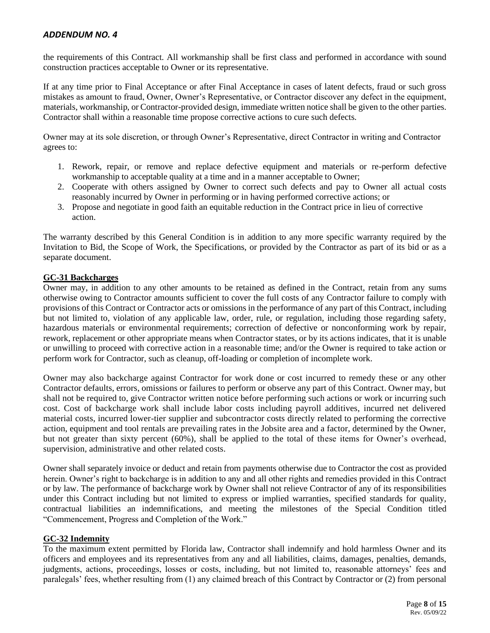the requirements of this Contract. All workmanship shall be first class and performed in accordance with sound construction practices acceptable to Owner or its representative.

If at any time prior to Final Acceptance or after Final Acceptance in cases of latent defects, fraud or such gross mistakes as amount to fraud, Owner, Owner's Representative, or Contractor discover any defect in the equipment, materials, workmanship, or Contractor-provided design, immediate written notice shall be given to the other parties. Contractor shall within a reasonable time propose corrective actions to cure such defects.

Owner may at its sole discretion, or through Owner's Representative, direct Contractor in writing and Contractor agrees to:

- 1. Rework, repair, or remove and replace defective equipment and materials or re-perform defective workmanship to acceptable quality at a time and in a manner acceptable to Owner;
- 2. Cooperate with others assigned by Owner to correct such defects and pay to Owner all actual costs reasonably incurred by Owner in performing or in having performed corrective actions; or
- 3. Propose and negotiate in good faith an equitable reduction in the Contract price in lieu of corrective action.

The warranty described by this General Condition is in addition to any more specific warranty required by the Invitation to Bid, the Scope of Work, the Specifications, or provided by the Contractor as part of its bid or as a separate document.

## **GC-31 Backcharges**

Owner may, in addition to any other amounts to be retained as defined in the Contract, retain from any sums otherwise owing to Contractor amounts sufficient to cover the full costs of any Contractor failure to comply with provisions of this Contract or Contractor acts or omissions in the performance of any part of this Contract, including but not limited to, violation of any applicable law, order, rule, or regulation, including those regarding safety, hazardous materials or environmental requirements; correction of defective or nonconforming work by repair, rework, replacement or other appropriate means when Contractor states, or by its actions indicates, that it is unable or unwilling to proceed with corrective action in a reasonable time; and/or the Owner is required to take action or perform work for Contractor, such as cleanup, off-loading or completion of incomplete work.

Owner may also backcharge against Contractor for work done or cost incurred to remedy these or any other Contractor defaults, errors, omissions or failures to perform or observe any part of this Contract. Owner may, but shall not be required to, give Contractor written notice before performing such actions or work or incurring such cost. Cost of backcharge work shall include labor costs including payroll additives, incurred net delivered material costs, incurred lower-tier supplier and subcontractor costs directly related to performing the corrective action, equipment and tool rentals are prevailing rates in the Jobsite area and a factor, determined by the Owner, but not greater than sixty percent (60%), shall be applied to the total of these items for Owner's overhead, supervision, administrative and other related costs.

Owner shall separately invoice or deduct and retain from payments otherwise due to Contractor the cost as provided herein. Owner's right to backcharge is in addition to any and all other rights and remedies provided in this Contract or by law. The performance of backcharge work by Owner shall not relieve Contractor of any of its responsibilities under this Contract including but not limited to express or implied warranties, specified standards for quality, contractual liabilities an indemnifications, and meeting the milestones of the Special Condition titled "Commencement, Progress and Completion of the Work."

## **GC-32 Indemnity**

To the maximum extent permitted by Florida law, Contractor shall indemnify and hold harmless Owner and its officers and employees and its representatives from any and all liabilities, claims, damages, penalties, demands, judgments, actions, proceedings, losses or costs, including, but not limited to, reasonable attorneys' fees and paralegals' fees, whether resulting from (1) any claimed breach of this Contract by Contractor or (2) from personal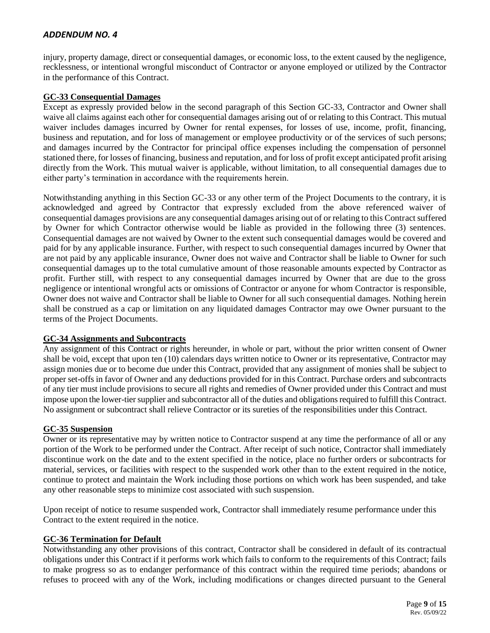injury, property damage, direct or consequential damages, or economic loss, to the extent caused by the negligence, recklessness, or intentional wrongful misconduct of Contractor or anyone employed or utilized by the Contractor in the performance of this Contract.

## **GC-33 Consequential Damages**

Except as expressly provided below in the second paragraph of this Section GC-33, Contractor and Owner shall waive all claims against each other for consequential damages arising out of or relating to this Contract. This mutual waiver includes damages incurred by Owner for rental expenses, for losses of use, income, profit, financing, business and reputation, and for loss of management or employee productivity or of the services of such persons; and damages incurred by the Contractor for principal office expenses including the compensation of personnel stationed there, for losses of financing, business and reputation, and for loss of profit except anticipated profit arising directly from the Work. This mutual waiver is applicable, without limitation, to all consequential damages due to either party's termination in accordance with the requirements herein.

Notwithstanding anything in this Section GC-33 or any other term of the Project Documents to the contrary, it is acknowledged and agreed by Contractor that expressly excluded from the above referenced waiver of consequential damages provisions are any consequential damages arising out of or relating to this Contract suffered by Owner for which Contractor otherwise would be liable as provided in the following three (3) sentences. Consequential damages are not waived by Owner to the extent such consequential damages would be covered and paid for by any applicable insurance. Further, with respect to such consequential damages incurred by Owner that are not paid by any applicable insurance, Owner does not waive and Contractor shall be liable to Owner for such consequential damages up to the total cumulative amount of those reasonable amounts expected by Contractor as profit. Further still, with respect to any consequential damages incurred by Owner that are due to the gross negligence or intentional wrongful acts or omissions of Contractor or anyone for whom Contractor is responsible, Owner does not waive and Contractor shall be liable to Owner for all such consequential damages. Nothing herein shall be construed as a cap or limitation on any liquidated damages Contractor may owe Owner pursuant to the terms of the Project Documents.

## **GC-34 Assignments and Subcontracts**

Any assignment of this Contract or rights hereunder, in whole or part, without the prior written consent of Owner shall be void, except that upon ten (10) calendars days written notice to Owner or its representative, Contractor may assign monies due or to become due under this Contract, provided that any assignment of monies shall be subject to proper set-offs in favor of Owner and any deductions provided for in this Contract. Purchase orders and subcontracts of any tier must include provisions to secure all rights and remedies of Owner provided under this Contract and must impose upon the lower-tier supplier and subcontractor all of the duties and obligations required to fulfill this Contract. No assignment or subcontract shall relieve Contractor or its sureties of the responsibilities under this Contract.

#### **GC-35 Suspension**

Owner or its representative may by written notice to Contractor suspend at any time the performance of all or any portion of the Work to be performed under the Contract. After receipt of such notice, Contractor shall immediately discontinue work on the date and to the extent specified in the notice, place no further orders or subcontracts for material, services, or facilities with respect to the suspended work other than to the extent required in the notice, continue to protect and maintain the Work including those portions on which work has been suspended, and take any other reasonable steps to minimize cost associated with such suspension.

Upon receipt of notice to resume suspended work, Contractor shall immediately resume performance under this Contract to the extent required in the notice.

#### **GC-36 Termination for Default**

Notwithstanding any other provisions of this contract, Contractor shall be considered in default of its contractual obligations under this Contract if it performs work which fails to conform to the requirements of this Contract; fails to make progress so as to endanger performance of this contract within the required time periods; abandons or refuses to proceed with any of the Work, including modifications or changes directed pursuant to the General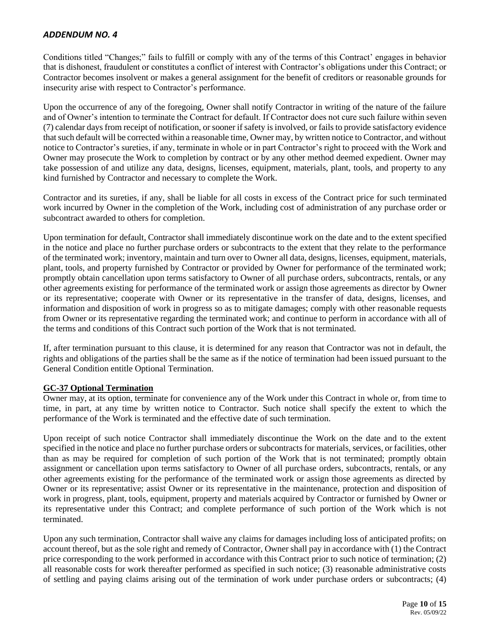Conditions titled "Changes;" fails to fulfill or comply with any of the terms of this Contract' engages in behavior that is dishonest, fraudulent or constitutes a conflict of interest with Contractor's obligations under this Contract; or Contractor becomes insolvent or makes a general assignment for the benefit of creditors or reasonable grounds for insecurity arise with respect to Contractor's performance.

Upon the occurrence of any of the foregoing, Owner shall notify Contractor in writing of the nature of the failure and of Owner's intention to terminate the Contract for default. If Contractor does not cure such failure within seven (7) calendar days from receipt of notification, or sooner if safety is involved, or fails to provide satisfactory evidence that such default will be corrected within a reasonable time, Owner may, by written notice to Contractor, and without notice to Contractor's sureties, if any, terminate in whole or in part Contractor's right to proceed with the Work and Owner may prosecute the Work to completion by contract or by any other method deemed expedient. Owner may take possession of and utilize any data, designs, licenses, equipment, materials, plant, tools, and property to any kind furnished by Contractor and necessary to complete the Work.

Contractor and its sureties, if any, shall be liable for all costs in excess of the Contract price for such terminated work incurred by Owner in the completion of the Work, including cost of administration of any purchase order or subcontract awarded to others for completion.

Upon termination for default, Contractor shall immediately discontinue work on the date and to the extent specified in the notice and place no further purchase orders or subcontracts to the extent that they relate to the performance of the terminated work; inventory, maintain and turn over to Owner all data, designs, licenses, equipment, materials, plant, tools, and property furnished by Contractor or provided by Owner for performance of the terminated work; promptly obtain cancellation upon terms satisfactory to Owner of all purchase orders, subcontracts, rentals, or any other agreements existing for performance of the terminated work or assign those agreements as director by Owner or its representative; cooperate with Owner or its representative in the transfer of data, designs, licenses, and information and disposition of work in progress so as to mitigate damages; comply with other reasonable requests from Owner or its representative regarding the terminated work; and continue to perform in accordance with all of the terms and conditions of this Contract such portion of the Work that is not terminated.

If, after termination pursuant to this clause, it is determined for any reason that Contractor was not in default, the rights and obligations of the parties shall be the same as if the notice of termination had been issued pursuant to the General Condition entitle Optional Termination.

## **GC-37 Optional Termination**

Owner may, at its option, terminate for convenience any of the Work under this Contract in whole or, from time to time, in part, at any time by written notice to Contractor. Such notice shall specify the extent to which the performance of the Work is terminated and the effective date of such termination.

Upon receipt of such notice Contractor shall immediately discontinue the Work on the date and to the extent specified in the notice and place no further purchase orders or subcontracts for materials, services, or facilities, other than as may be required for completion of such portion of the Work that is not terminated; promptly obtain assignment or cancellation upon terms satisfactory to Owner of all purchase orders, subcontracts, rentals, or any other agreements existing for the performance of the terminated work or assign those agreements as directed by Owner or its representative; assist Owner or its representative in the maintenance, protection and disposition of work in progress, plant, tools, equipment, property and materials acquired by Contractor or furnished by Owner or its representative under this Contract; and complete performance of such portion of the Work which is not terminated.

Upon any such termination, Contractor shall waive any claims for damages including loss of anticipated profits; on account thereof, but as the sole right and remedy of Contractor, Owner shall pay in accordance with (1) the Contract price corresponding to the work performed in accordance with this Contract prior to such notice of termination; (2) all reasonable costs for work thereafter performed as specified in such notice; (3) reasonable administrative costs of settling and paying claims arising out of the termination of work under purchase orders or subcontracts; (4)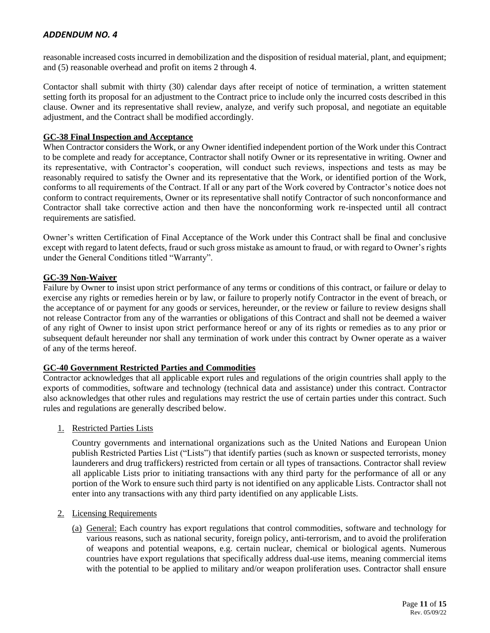reasonable increased costs incurred in demobilization and the disposition of residual material, plant, and equipment; and (5) reasonable overhead and profit on items 2 through 4.

Contactor shall submit with thirty (30) calendar days after receipt of notice of termination, a written statement setting forth its proposal for an adjustment to the Contract price to include only the incurred costs described in this clause. Owner and its representative shall review, analyze, and verify such proposal, and negotiate an equitable adjustment, and the Contract shall be modified accordingly.

## **GC-38 Final Inspection and Acceptance**

When Contractor considers the Work, or any Owner identified independent portion of the Work under this Contract to be complete and ready for acceptance, Contractor shall notify Owner or its representative in writing. Owner and its representative, with Contractor's cooperation, will conduct such reviews, inspections and tests as may be reasonably required to satisfy the Owner and its representative that the Work, or identified portion of the Work, conforms to all requirements of the Contract. If all or any part of the Work covered by Contractor's notice does not conform to contract requirements, Owner or its representative shall notify Contractor of such nonconformance and Contractor shall take corrective action and then have the nonconforming work re-inspected until all contract requirements are satisfied.

Owner's written Certification of Final Acceptance of the Work under this Contract shall be final and conclusive except with regard to latent defects, fraud or such gross mistake as amount to fraud, or with regard to Owner's rights under the General Conditions titled "Warranty".

## **GC-39 Non-Waiver**

Failure by Owner to insist upon strict performance of any terms or conditions of this contract, or failure or delay to exercise any rights or remedies herein or by law, or failure to properly notify Contractor in the event of breach, or the acceptance of or payment for any goods or services, hereunder, or the review or failure to review designs shall not release Contractor from any of the warranties or obligations of this Contract and shall not be deemed a waiver of any right of Owner to insist upon strict performance hereof or any of its rights or remedies as to any prior or subsequent default hereunder nor shall any termination of work under this contract by Owner operate as a waiver of any of the terms hereof.

## **GC-40 Government Restricted Parties and Commodities**

Contractor acknowledges that all applicable export rules and regulations of the origin countries shall apply to the exports of commodities, software and technology (technical data and assistance) under this contract. Contractor also acknowledges that other rules and regulations may restrict the use of certain parties under this contract. Such rules and regulations are generally described below.

1. Restricted Parties Lists

Country governments and international organizations such as the United Nations and European Union publish Restricted Parties List ("Lists") that identify parties (such as known or suspected terrorists, money launderers and drug traffickers) restricted from certain or all types of transactions. Contractor shall review all applicable Lists prior to initiating transactions with any third party for the performance of all or any portion of the Work to ensure such third party is not identified on any applicable Lists. Contractor shall not enter into any transactions with any third party identified on any applicable Lists.

#### 2. Licensing Requirements

(a) General: Each country has export regulations that control commodities, software and technology for various reasons, such as national security, foreign policy, anti-terrorism, and to avoid the proliferation of weapons and potential weapons, e.g. certain nuclear, chemical or biological agents. Numerous countries have export regulations that specifically address dual-use items, meaning commercial items with the potential to be applied to military and/or weapon proliferation uses. Contractor shall ensure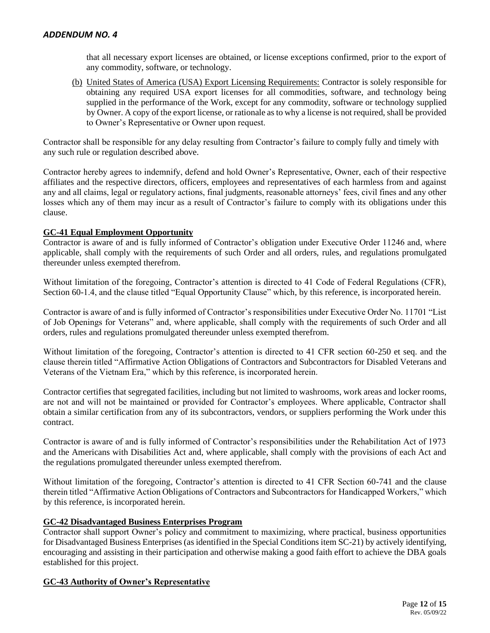that all necessary export licenses are obtained, or license exceptions confirmed, prior to the export of any commodity, software, or technology.

(b) United States of America (USA) Export Licensing Requirements: Contractor is solely responsible for obtaining any required USA export licenses for all commodities, software, and technology being supplied in the performance of the Work, except for any commodity, software or technology supplied by Owner. A copy of the export license, or rationale as to why a license is not required, shall be provided to Owner's Representative or Owner upon request.

Contractor shall be responsible for any delay resulting from Contractor's failure to comply fully and timely with any such rule or regulation described above.

Contractor hereby agrees to indemnify, defend and hold Owner's Representative, Owner, each of their respective affiliates and the respective directors, officers, employees and representatives of each harmless from and against any and all claims, legal or regulatory actions, final judgments, reasonable attorneys' fees, civil fines and any other losses which any of them may incur as a result of Contractor's failure to comply with its obligations under this clause.

## **GC-41 Equal Employment Opportunity**

Contractor is aware of and is fully informed of Contractor's obligation under Executive Order 11246 and, where applicable, shall comply with the requirements of such Order and all orders, rules, and regulations promulgated thereunder unless exempted therefrom.

Without limitation of the foregoing, Contractor's attention is directed to 41 Code of Federal Regulations (CFR), Section 60-1.4, and the clause titled "Equal Opportunity Clause" which, by this reference, is incorporated herein.

Contractor is aware of and is fully informed of Contractor's responsibilities under Executive Order No. 11701 "List of Job Openings for Veterans" and, where applicable, shall comply with the requirements of such Order and all orders, rules and regulations promulgated thereunder unless exempted therefrom.

Without limitation of the foregoing, Contractor's attention is directed to 41 CFR section 60-250 et seq. and the clause therein titled "Affirmative Action Obligations of Contractors and Subcontractors for Disabled Veterans and Veterans of the Vietnam Era," which by this reference, is incorporated herein.

Contractor certifies that segregated facilities, including but not limited to washrooms, work areas and locker rooms, are not and will not be maintained or provided for Contractor's employees. Where applicable, Contractor shall obtain a similar certification from any of its subcontractors, vendors, or suppliers performing the Work under this contract.

Contractor is aware of and is fully informed of Contractor's responsibilities under the Rehabilitation Act of 1973 and the Americans with Disabilities Act and, where applicable, shall comply with the provisions of each Act and the regulations promulgated thereunder unless exempted therefrom.

Without limitation of the foregoing, Contractor's attention is directed to 41 CFR Section 60-741 and the clause therein titled "Affirmative Action Obligations of Contractors and Subcontractors for Handicapped Workers," which by this reference, is incorporated herein.

## **GC-42 Disadvantaged Business Enterprises Program**

Contractor shall support Owner's policy and commitment to maximizing, where practical, business opportunities for Disadvantaged Business Enterprises (as identified in the Special Conditions item SC-21) by actively identifying, encouraging and assisting in their participation and otherwise making a good faith effort to achieve the DBA goals established for this project.

## **GC-43 Authority of Owner's Representative**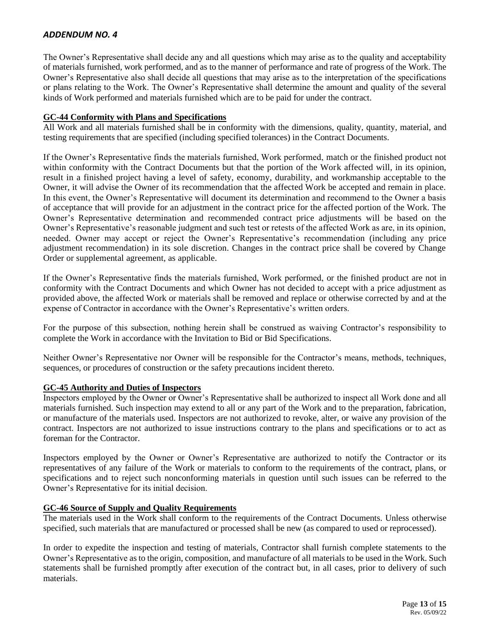The Owner's Representative shall decide any and all questions which may arise as to the quality and acceptability of materials furnished, work performed, and as to the manner of performance and rate of progress of the Work. The Owner's Representative also shall decide all questions that may arise as to the interpretation of the specifications or plans relating to the Work. The Owner's Representative shall determine the amount and quality of the several kinds of Work performed and materials furnished which are to be paid for under the contract.

## **GC-44 Conformity with Plans and Specifications**

All Work and all materials furnished shall be in conformity with the dimensions, quality, quantity, material, and testing requirements that are specified (including specified tolerances) in the Contract Documents.

If the Owner's Representative finds the materials furnished, Work performed, match or the finished product not within conformity with the Contract Documents but that the portion of the Work affected will, in its opinion, result in a finished project having a level of safety, economy, durability, and workmanship acceptable to the Owner, it will advise the Owner of its recommendation that the affected Work be accepted and remain in place. In this event, the Owner's Representative will document its determination and recommend to the Owner a basis of acceptance that will provide for an adjustment in the contract price for the affected portion of the Work. The Owner's Representative determination and recommended contract price adjustments will be based on the Owner's Representative's reasonable judgment and such test or retests of the affected Work as are, in its opinion, needed. Owner may accept or reject the Owner's Representative's recommendation (including any price adjustment recommendation) in its sole discretion. Changes in the contract price shall be covered by Change Order or supplemental agreement, as applicable.

If the Owner's Representative finds the materials furnished, Work performed, or the finished product are not in conformity with the Contract Documents and which Owner has not decided to accept with a price adjustment as provided above, the affected Work or materials shall be removed and replace or otherwise corrected by and at the expense of Contractor in accordance with the Owner's Representative's written orders.

For the purpose of this subsection, nothing herein shall be construed as waiving Contractor's responsibility to complete the Work in accordance with the Invitation to Bid or Bid Specifications.

Neither Owner's Representative nor Owner will be responsible for the Contractor's means, methods, techniques, sequences, or procedures of construction or the safety precautions incident thereto.

## **GC-45 Authority and Duties of Inspectors**

Inspectors employed by the Owner or Owner's Representative shall be authorized to inspect all Work done and all materials furnished. Such inspection may extend to all or any part of the Work and to the preparation, fabrication, or manufacture of the materials used. Inspectors are not authorized to revoke, alter, or waive any provision of the contract. Inspectors are not authorized to issue instructions contrary to the plans and specifications or to act as foreman for the Contractor.

Inspectors employed by the Owner or Owner's Representative are authorized to notify the Contractor or its representatives of any failure of the Work or materials to conform to the requirements of the contract, plans, or specifications and to reject such nonconforming materials in question until such issues can be referred to the Owner's Representative for its initial decision.

## **GC-46 Source of Supply and Quality Requirements**

The materials used in the Work shall conform to the requirements of the Contract Documents. Unless otherwise specified, such materials that are manufactured or processed shall be new (as compared to used or reprocessed).

In order to expedite the inspection and testing of materials, Contractor shall furnish complete statements to the Owner's Representative as to the origin, composition, and manufacture of all materials to be used in the Work. Such statements shall be furnished promptly after execution of the contract but, in all cases, prior to delivery of such materials.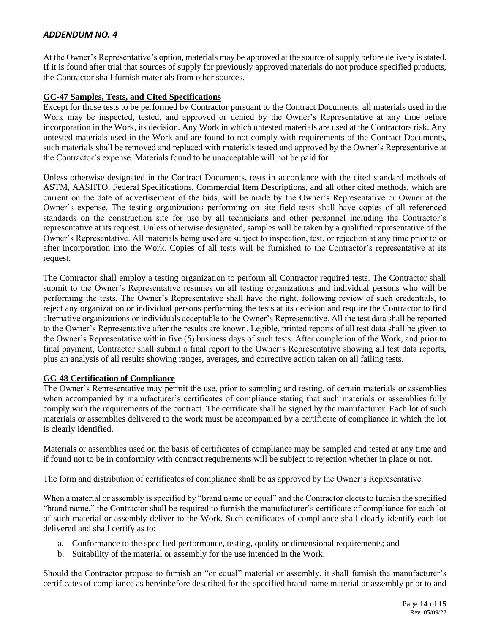At the Owner's Representative's option, materials may be approved at the source of supply before delivery is stated. If it is found after trial that sources of supply for previously approved materials do not produce specified products, the Contractor shall furnish materials from other sources.

## **GC-47 Samples, Tests, and Cited Specifications**

Except for those tests to be performed by Contractor pursuant to the Contract Documents, all materials used in the Work may be inspected, tested, and approved or denied by the Owner's Representative at any time before incorporation in the Work, its decision. Any Work in which untested materials are used at the Contractors risk. Any untested materials used in the Work and are found to not comply with requirements of the Contract Documents, such materials shall be removed and replaced with materials tested and approved by the Owner's Representative at the Contractor's expense. Materials found to be unacceptable will not be paid for.

Unless otherwise designated in the Contract Documents, tests in accordance with the cited standard methods of ASTM, AASHTO, Federal Specifications, Commercial Item Descriptions, and all other cited methods, which are current on the date of advertisement of the bids, will be made by the Owner's Representative or Owner at the Owner's expense. The testing organizations performing on site field tests shall have copies of all referenced standards on the construction site for use by all technicians and other personnel including the Contractor's representative at its request. Unless otherwise designated, samples will be taken by a qualified representative of the Owner's Representative. All materials being used are subject to inspection, test, or rejection at any time prior to or after incorporation into the Work. Copies of all tests will be furnished to the Contractor's representative at its request.

The Contractor shall employ a testing organization to perform all Contractor required tests. The Contractor shall submit to the Owner's Representative resumes on all testing organizations and individual persons who will be performing the tests. The Owner's Representative shall have the right, following review of such credentials, to reject any organization or individual persons performing the tests at its decision and require the Contractor to find alternative organizations or individuals acceptable to the Owner's Representative. All the test data shall be reported to the Owner's Representative after the results are known. Legible, printed reports of all test data shall be given to the Owner's Representative within five (5) business days of such tests. After completion of the Work, and prior to final payment, Contractor shall submit a final report to the Owner's Representative showing all test data reports, plus an analysis of all results showing ranges, averages, and corrective action taken on all failing tests.

## **GC-48 Certification of Compliance**

The Owner's Representative may permit the use, prior to sampling and testing, of certain materials or assemblies when accompanied by manufacturer's certificates of compliance stating that such materials or assemblies fully comply with the requirements of the contract. The certificate shall be signed by the manufacturer. Each lot of such materials or assemblies delivered to the work must be accompanied by a certificate of compliance in which the lot is clearly identified.

Materials or assemblies used on the basis of certificates of compliance may be sampled and tested at any time and if found not to be in conformity with contract requirements will be subject to rejection whether in place or not.

The form and distribution of certificates of compliance shall be as approved by the Owner's Representative.

When a material or assembly is specified by "brand name or equal" and the Contractor elects to furnish the specified "brand name," the Contractor shall be required to furnish the manufacturer's certificate of compliance for each lot of such material or assembly deliver to the Work. Such certificates of compliance shall clearly identify each lot delivered and shall certify as to:

- a. Conformance to the specified performance, testing, quality or dimensional requirements; and
- b. Suitability of the material or assembly for the use intended in the Work.

Should the Contractor propose to furnish an "or equal" material or assembly, it shall furnish the manufacturer's certificates of compliance as hereinbefore described for the specified brand name material or assembly prior to and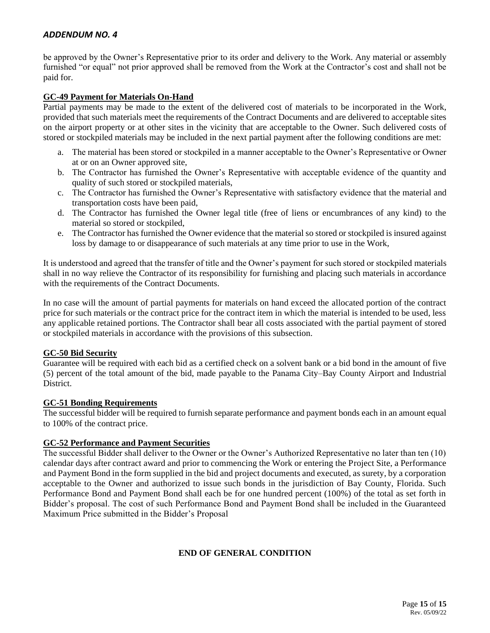be approved by the Owner's Representative prior to its order and delivery to the Work. Any material or assembly furnished "or equal" not prior approved shall be removed from the Work at the Contractor's cost and shall not be paid for.

## **GC-49 Payment for Materials On-Hand**

Partial payments may be made to the extent of the delivered cost of materials to be incorporated in the Work, provided that such materials meet the requirements of the Contract Documents and are delivered to acceptable sites on the airport property or at other sites in the vicinity that are acceptable to the Owner. Such delivered costs of stored or stockpiled materials may be included in the next partial payment after the following conditions are met:

- a. The material has been stored or stockpiled in a manner acceptable to the Owner's Representative or Owner at or on an Owner approved site,
- b. The Contractor has furnished the Owner's Representative with acceptable evidence of the quantity and quality of such stored or stockpiled materials,
- c. The Contractor has furnished the Owner's Representative with satisfactory evidence that the material and transportation costs have been paid,
- d. The Contractor has furnished the Owner legal title (free of liens or encumbrances of any kind) to the material so stored or stockpiled,
- e. The Contractor has furnished the Owner evidence that the material so stored or stockpiled is insured against loss by damage to or disappearance of such materials at any time prior to use in the Work,

It is understood and agreed that the transfer of title and the Owner's payment for such stored or stockpiled materials shall in no way relieve the Contractor of its responsibility for furnishing and placing such materials in accordance with the requirements of the Contract Documents.

In no case will the amount of partial payments for materials on hand exceed the allocated portion of the contract price for such materials or the contract price for the contract item in which the material is intended to be used, less any applicable retained portions. The Contractor shall bear all costs associated with the partial payment of stored or stockpiled materials in accordance with the provisions of this subsection.

## **GC-50 Bid Security**

Guarantee will be required with each bid as a certified check on a solvent bank or a bid bond in the amount of five (5) percent of the total amount of the bid, made payable to the Panama City–Bay County Airport and Industrial District.

## **GC-51 Bonding Requirements**

The successful bidder will be required to furnish separate performance and payment bonds each in an amount equal to 100% of the contract price.

#### **GC-52 Performance and Payment Securities**

The successful Bidder shall deliver to the Owner or the Owner's Authorized Representative no later than ten (10) calendar days after contract award and prior to commencing the Work or entering the Project Site, a Performance and Payment Bond in the form supplied in the bid and project documents and executed, as surety, by a corporation acceptable to the Owner and authorized to issue such bonds in the jurisdiction of Bay County, Florida. Such Performance Bond and Payment Bond shall each be for one hundred percent (100%) of the total as set forth in Bidder's proposal. The cost of such Performance Bond and Payment Bond shall be included in the Guaranteed Maximum Price submitted in the Bidder's Proposal

## **END OF GENERAL CONDITION**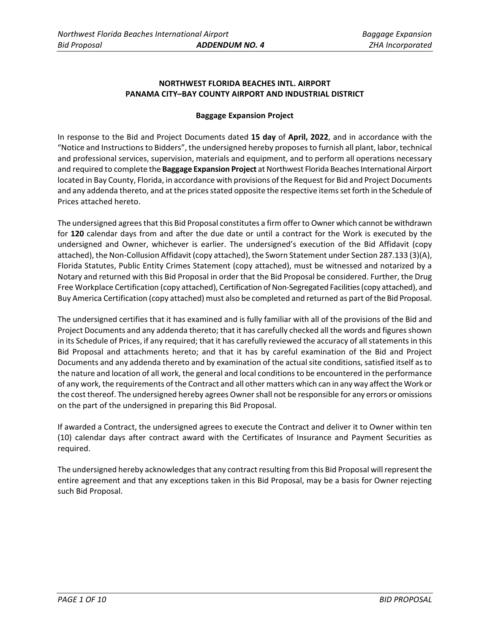# **NORTHWEST FLORIDA BEACHES INTL. AIRPORT PANAMA CITY–BAY COUNTY AIRPORT AND INDUSTRIAL DISTRICT**

## **Baggage Expansion Project**

In response to the Bid and Project Documents dated **15 day** of **April, 2022**, and in accordance with the "Notice and Instructions to Bidders", the undersigned hereby proposes to furnish all plant, labor, technical and professional services, supervision, materials and equipment, and to perform all operations necessary and required to complete the **Baggage Expansion Project** at Northwest Florida Beaches International Airport located in Bay County, Florida, in accordance with provisions of the Request for Bid and Project Documents and any addenda thereto, and at the prices stated opposite the respective items set forth in the Schedule of Prices attached hereto.

The undersigned agrees that this Bid Proposal constitutes a firm offer to Owner which cannot be withdrawn for **120** calendar days from and after the due date or until a contract for the Work is executed by the undersigned and Owner, whichever is earlier. The undersigned's execution of the Bid Affidavit (copy attached), the Non-Collusion Affidavit (copy attached), the Sworn Statement under Section 287.133 (3)(A), Florida Statutes, Public Entity Crimes Statement (copy attached), must be witnessed and notarized by a Notary and returned with this Bid Proposal in order that the Bid Proposal be considered. Further, the Drug Free Workplace Certification (copy attached), Certification of Non-Segregated Facilities (copy attached), and Buy America Certification (copy attached) must also be completed and returned as part of the Bid Proposal.

The undersigned certifies that it has examined and is fully familiar with all of the provisions of the Bid and Project Documents and any addenda thereto; that it has carefully checked all the words and figures shown in its Schedule of Prices, if any required; that it has carefully reviewed the accuracy of all statements in this Bid Proposal and attachments hereto; and that it has by careful examination of the Bid and Project Documents and any addenda thereto and by examination of the actual site conditions, satisfied itself as to the nature and location of all work, the general and local conditions to be encountered in the performance of any work, the requirements of the Contract and all other matters which can in any way affect the Work or the cost thereof. The undersigned hereby agrees Owner shall not be responsible for any errors or omissions on the part of the undersigned in preparing this Bid Proposal.

If awarded a Contract, the undersigned agrees to execute the Contract and deliver it to Owner within ten (10) calendar days after contract award with the Certificates of Insurance and Payment Securities as required.

The undersigned hereby acknowledges that any contract resulting from this Bid Proposal will represent the entire agreement and that any exceptions taken in this Bid Proposal, may be a basis for Owner rejecting such Bid Proposal.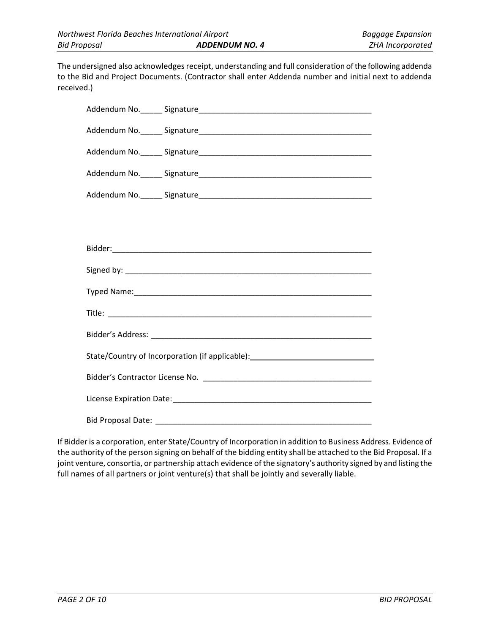The undersigned also acknowledges receipt, understanding and full consideration of the following addenda to the Bid and Project Documents. (Contractor shall enter Addenda number and initial next to addenda received.)

| State/Country of Incorporation (if applicable): ________________________________ |
|----------------------------------------------------------------------------------|
|                                                                                  |
|                                                                                  |
|                                                                                  |

If Bidder is a corporation, enter State/Country of Incorporation in addition to Business Address. Evidence of the authority of the person signing on behalf of the bidding entity shall be attached to the Bid Proposal. If a joint venture, consortia, or partnership attach evidence of the signatory's authority signed by and listing the full names of all partners or joint venture(s) that shall be jointly and severally liable.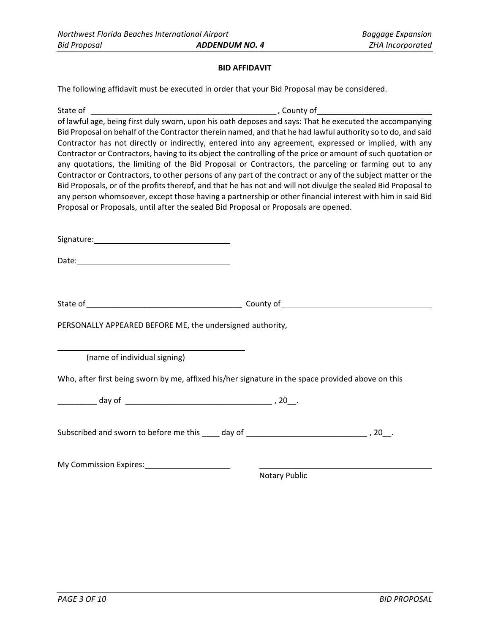## **BID AFFIDAVIT**

The following affidavit must be executed in order that your Bid Proposal may be considered.

| State of <b>State</b>                                                               |                                                                                                                                                                                                                            |
|-------------------------------------------------------------------------------------|----------------------------------------------------------------------------------------------------------------------------------------------------------------------------------------------------------------------------|
|                                                                                     | of lawful age, being first duly sworn, upon his oath deposes and says: That he executed the accompanying<br>Bid Proposal on behalf of the Contractor therein named, and that he had lawful authority so to do, and said    |
|                                                                                     | Contractor has not directly or indirectly, entered into any agreement, expressed or implied, with any                                                                                                                      |
|                                                                                     | Contractor or Contractors, having to its object the controlling of the price or amount of such quotation or<br>any quotations, the limiting of the Bid Proposal or Contractors, the parceling or farming out to any        |
|                                                                                     | Contractor or Contractors, to other persons of any part of the contract or any of the subject matter or the                                                                                                                |
|                                                                                     | Bid Proposals, or of the profits thereof, and that he has not and will not divulge the sealed Bid Proposal to<br>any person whomsoever, except those having a partnership or other financial interest with him in said Bid |
| Proposal or Proposals, until after the sealed Bid Proposal or Proposals are opened. |                                                                                                                                                                                                                            |
|                                                                                     |                                                                                                                                                                                                                            |
|                                                                                     |                                                                                                                                                                                                                            |
|                                                                                     |                                                                                                                                                                                                                            |
|                                                                                     |                                                                                                                                                                                                                            |
|                                                                                     |                                                                                                                                                                                                                            |
| PERSONALLY APPEARED BEFORE ME, the undersigned authority,                           |                                                                                                                                                                                                                            |
|                                                                                     |                                                                                                                                                                                                                            |
| (name of individual signing)                                                        |                                                                                                                                                                                                                            |
|                                                                                     | Who, after first being sworn by me, affixed his/her signature in the space provided above on this                                                                                                                          |
|                                                                                     |                                                                                                                                                                                                                            |
|                                                                                     |                                                                                                                                                                                                                            |
|                                                                                     | Subscribed and sworn to before me this ____ day of ______________________________, 20__.                                                                                                                                   |
|                                                                                     |                                                                                                                                                                                                                            |
| My Commission Expires: My Commission Expires:                                       |                                                                                                                                                                                                                            |
|                                                                                     | Notary Public                                                                                                                                                                                                              |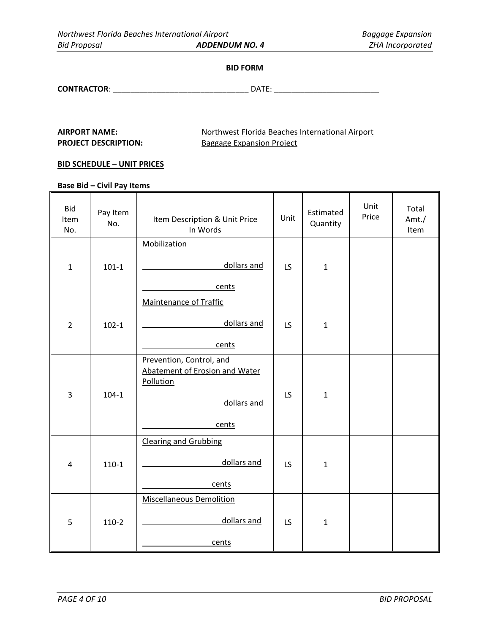#### **BID FORM**

**CONTRACTOR**: \_\_\_\_\_\_\_\_\_\_\_\_\_\_\_\_\_\_\_\_\_\_\_\_\_\_\_\_\_\_\_ DATE: \_\_\_\_\_\_\_\_\_\_\_\_\_\_\_\_\_\_\_\_\_\_\_\_

AIRPORT NAME: Northwest Florida Beaches International Airport **PROJECT DESCRIPTION:** Baggage Expansion Project

 $\overline{\phantom{a}}$ 

#### **BID SCHEDULE – UNIT PRICES**

**Base Bid – Civil Pay Items**

| <b>Bid</b><br>Item<br>No. | Pay Item<br>No. | Item Description & Unit Price<br>In Words                                              | Unit      | Estimated<br>Quantity | Unit<br>Price | Total<br>Amt./<br>Item |
|---------------------------|-----------------|----------------------------------------------------------------------------------------|-----------|-----------------------|---------------|------------------------|
|                           |                 | <b>Mobilization</b>                                                                    |           |                       |               |                        |
| $\mathbf{1}$              | $101-1$         | dollars and                                                                            | LS        | $\mathbf{1}$          |               |                        |
|                           |                 | cents                                                                                  |           |                       |               |                        |
|                           |                 | <b>Maintenance of Traffic</b>                                                          |           |                       |               |                        |
| $\overline{2}$            | $102 - 1$       | dollars and                                                                            | LS        | $\mathbf{1}$          |               |                        |
|                           |                 | cents                                                                                  |           |                       |               |                        |
| 3                         | $104 - 1$       | Prevention, Control, and<br>Abatement of Erosion and Water<br>Pollution<br>dollars and | LS        | $\mathbf{1}$          |               |                        |
|                           |                 | cents                                                                                  |           |                       |               |                        |
| 4                         | $110-1$         | <b>Clearing and Grubbing</b><br>dollars and<br>cents                                   | LS        | $\mathbf{1}$          |               |                        |
|                           |                 | <b>Miscellaneous Demolition</b>                                                        |           |                       |               |                        |
| 5                         | $110-2$         | dollars and                                                                            | <b>LS</b> | $\mathbf{1}$          |               |                        |
|                           |                 | cents                                                                                  |           |                       |               |                        |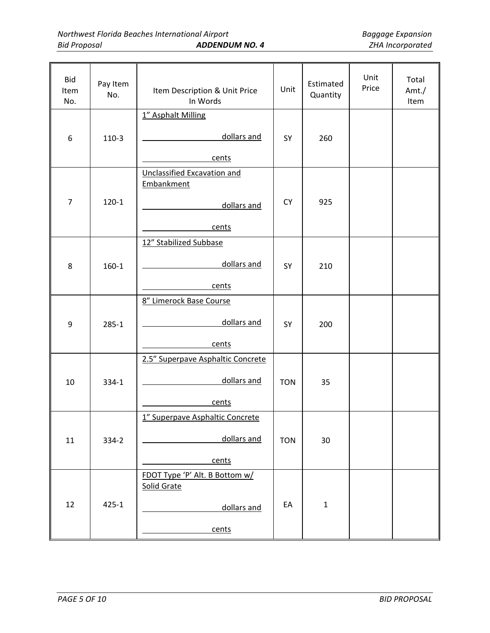| <b>Bid</b><br>Item<br>No. | Pay Item<br>No. | Item Description & Unit Price<br>In Words               | Unit       | Estimated<br>Quantity | Unit<br>Price | Total<br>Amt./<br>Item |
|---------------------------|-----------------|---------------------------------------------------------|------------|-----------------------|---------------|------------------------|
|                           |                 | 1" Asphalt Milling                                      |            |                       |               |                        |
| 6                         | $110-3$         | dollars and                                             | SY         | 260                   |               |                        |
|                           |                 | cents                                                   |            |                       |               |                        |
|                           |                 | <b>Unclassified Excavation and</b><br><b>Embankment</b> |            |                       |               |                        |
| $\overline{7}$            | $120 - 1$       | dollars and                                             | <b>CY</b>  | 925                   |               |                        |
|                           |                 | cents                                                   |            |                       |               |                        |
|                           |                 | 12" Stabilized Subbase                                  |            |                       |               |                        |
| 8                         | $160 - 1$       | dollars and                                             | SY         | 210                   |               |                        |
|                           |                 | cents                                                   |            |                       |               |                        |
|                           |                 | 8" Limerock Base Course                                 |            |                       |               |                        |
| 9                         | $285 - 1$       | dollars and                                             | SY         | 200                   |               |                        |
|                           |                 | cents                                                   |            |                       |               |                        |
|                           |                 | 2.5" Superpave Asphaltic Concrete                       |            |                       |               |                        |
| 10                        | 334-1           | dollars and                                             | <b>TON</b> | 35                    |               |                        |
|                           |                 | cents                                                   |            |                       |               |                        |
|                           |                 | 1" Superpave Asphaltic Concrete                         |            |                       |               |                        |
| 11                        | 334-2           | dollars and                                             | <b>TON</b> | 30                    |               |                        |
|                           |                 | cents                                                   |            |                       |               |                        |
|                           |                 | FDOT Type 'P' Alt. B Bottom w/                          |            |                       |               |                        |
|                           |                 | Solid Grate                                             |            |                       |               |                        |
| 12                        | $425 - 1$       | dollars and                                             | EA         | $\mathbf 1$           |               |                        |
|                           |                 | cents                                                   |            |                       |               |                        |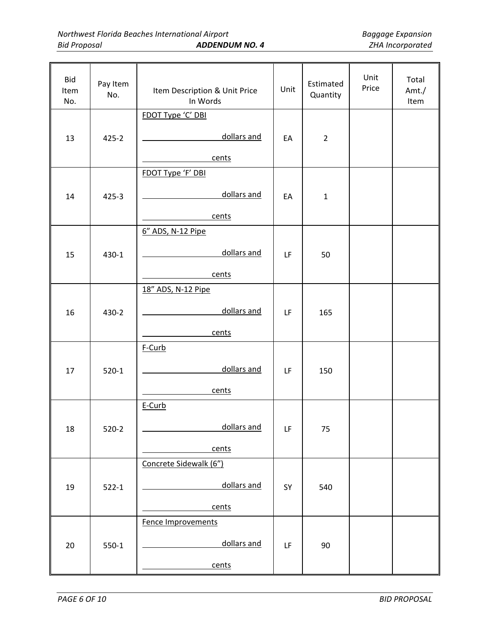| <b>Bid</b><br>Item<br>No. | Pay Item<br>No. | Item Description & Unit Price<br>In Words | Unit | Estimated<br>Quantity | Unit<br>Price | Total<br>Amt./<br>Item |
|---------------------------|-----------------|-------------------------------------------|------|-----------------------|---------------|------------------------|
|                           |                 | FDOT Type 'C' DBI                         |      |                       |               |                        |
| 13                        | $425 - 2$       | dollars and                               | EA   | $\overline{2}$        |               |                        |
|                           |                 | cents                                     |      |                       |               |                        |
|                           |                 | FDOT Type 'F' DBI                         |      |                       |               |                        |
| 14                        | $425 - 3$       | dollars and                               | EA   | $\mathbf{1}$          |               |                        |
|                           |                 | cents                                     |      |                       |               |                        |
|                           |                 | 6" ADS, N-12 Pipe                         |      |                       |               |                        |
| 15                        | 430-1           | dollars and                               | LF   | 50                    |               |                        |
|                           |                 | cents                                     |      |                       |               |                        |
|                           |                 | 18" ADS, N-12 Pipe                        |      |                       |               |                        |
| 16                        | 430-2           | dollars and                               | LF   | 165                   |               |                        |
|                           |                 | cents                                     |      |                       |               |                        |
|                           |                 | F-Curb                                    |      |                       |               |                        |
|                           |                 | dollars and                               |      |                       |               |                        |
| 17                        | $520-1$         |                                           | LF   | 150                   |               |                        |
|                           |                 | cents<br>E-Curb                           |      |                       |               |                        |
|                           |                 |                                           |      |                       |               |                        |
| 18                        | $520-2$         | dollars and                               | LF   | 75                    |               |                        |
|                           |                 | cents                                     |      |                       |               |                        |
|                           |                 | Concrete Sidewalk (6")                    |      |                       |               |                        |
| 19                        | $522 - 1$       | dollars and                               | SY   | 540                   |               |                        |
|                           |                 | cents                                     |      |                       |               |                        |
|                           |                 | Fence Improvements                        |      |                       |               |                        |
| 20                        | $550-1$         | dollars and                               | LF   | 90                    |               |                        |
|                           |                 | cents                                     |      |                       |               |                        |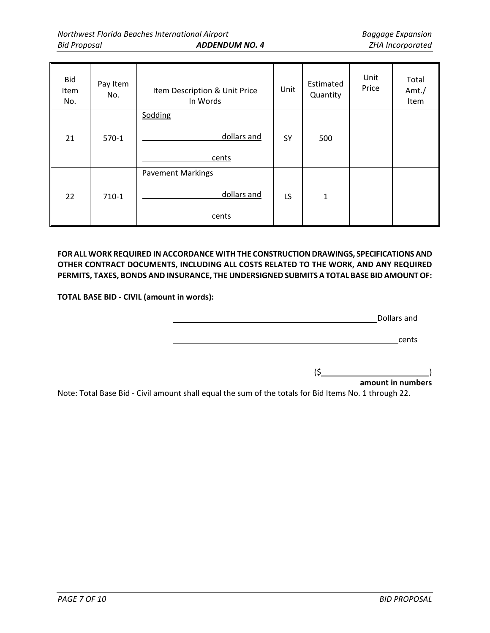| <b>Bid</b><br>Item<br>No. | Pay Item<br>No. | Item Description & Unit Price<br>In Words        | Unit | Estimated<br>Quantity | Unit<br>Price | Total<br>Amt./<br>Item |
|---------------------------|-----------------|--------------------------------------------------|------|-----------------------|---------------|------------------------|
| 21                        | $570-1$         | Sodding<br>dollars and<br>cents                  | SY   | 500                   |               |                        |
| 22                        | $710-1$         | <b>Pavement Markings</b><br>dollars and<br>cents | LS   | $\mathbf{1}$          |               |                        |

**FOR ALL WORK REQUIRED IN ACCORDANCE WITH THE CONSTRUCTION DRAWINGS, SPECIFICATIONS AND OTHER CONTRACT DOCUMENTS, INCLUDING ALL COSTS RELATED TO THE WORK, AND ANY REQUIRED PERMITS, TAXES, BONDS AND INSURANCE, THE UNDERSIGNED SUBMITS A TOTAL BASE BID AMOUNT OF:**

**TOTAL BASE BID - CIVIL (amount in words):** 

Dollars and

**cents** and the contract of the contract of the contract of the contract of the contract of the contract of the contract of the contract of the contract of the contract of the contract of the contract of the contract of th

 $(5)$  )

**amount in numbers**

Note: Total Base Bid - Civil amount shall equal the sum of the totals for Bid Items No. 1 through 22.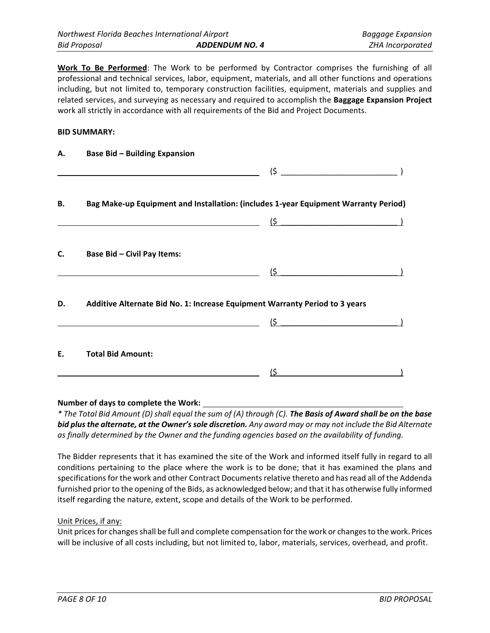**Work To Be Performed**: The Work to be performed by Contractor comprises the furnishing of all professional and technical services, labor, equipment, materials, and all other functions and operations including, but not limited to, temporary construction facilities, equipment, materials and supplies and related services, and surveying as necessary and required to accomplish the **Baggage Expansion Project** work all strictly in accordance with all requirements of the Bid and Project Documents.

#### **BID SUMMARY:**

| А. | <b>Base Bid - Building Expansion</b>                                                                                                                                                                                                                                                                                                                                                                  |                             |  |
|----|-------------------------------------------------------------------------------------------------------------------------------------------------------------------------------------------------------------------------------------------------------------------------------------------------------------------------------------------------------------------------------------------------------|-----------------------------|--|
|    | <u> Alexandria de la contrada de la contrada de la contrada de la contrada de la contrada de la contrada de la c</u>                                                                                                                                                                                                                                                                                  |                             |  |
| В. | Bag Make-up Equipment and Installation: (includes 1-year Equipment Warranty Period)                                                                                                                                                                                                                                                                                                                   |                             |  |
|    | $\frac{1}{\sqrt{2}}$ $\frac{1}{\sqrt{2}}$ $\frac{1}{\sqrt{2}}$ $\frac{1}{\sqrt{2}}$ $\frac{1}{\sqrt{2}}$ $\frac{1}{\sqrt{2}}$ $\frac{1}{\sqrt{2}}$ $\frac{1}{\sqrt{2}}$ $\frac{1}{\sqrt{2}}$ $\frac{1}{\sqrt{2}}$ $\frac{1}{\sqrt{2}}$ $\frac{1}{\sqrt{2}}$ $\frac{1}{\sqrt{2}}$ $\frac{1}{\sqrt{2}}$ $\frac{1}{\sqrt{2}}$ $\frac{1}{\sqrt{2}}$ $\frac{1}{\sqrt{2}}$                                  |                             |  |
| C. | Base Bid - Civil Pay Items:                                                                                                                                                                                                                                                                                                                                                                           |                             |  |
|    |                                                                                                                                                                                                                                                                                                                                                                                                       | $\left( \mathsf{S} \right)$ |  |
| D. | Additive Alternate Bid No. 1: Increase Equipment Warranty Period to 3 years                                                                                                                                                                                                                                                                                                                           |                             |  |
|    | $\overline{\mathbf{S}}$ and $\overline{\mathbf{S}}$ and $\overline{\mathbf{S}}$ and $\overline{\mathbf{S}}$ and $\overline{\mathbf{S}}$ and $\overline{\mathbf{S}}$ and $\overline{\mathbf{S}}$ and $\overline{\mathbf{S}}$ and $\overline{\mathbf{S}}$ and $\overline{\mathbf{S}}$ and $\overline{\mathbf{S}}$ and $\overline{\mathbf{S}}$ and $\overline{\mathbf{S}}$ and $\overline{\mathbf{S}}$ a |                             |  |
| Ε. | <b>Total Bid Amount:</b>                                                                                                                                                                                                                                                                                                                                                                              |                             |  |
|    |                                                                                                                                                                                                                                                                                                                                                                                                       | (\$                         |  |

#### **Number of days to complete the Work:**

*\* The Total Bid Amount (D) shall equal the sum of (A) through (C). The Basis of Award shall be on the base bid plus the alternate, at the Owner's sole discretion. Any award may or may not include the Bid Alternate as finally determined by the Owner and the funding agencies based on the availability of funding.*

The Bidder represents that it has examined the site of the Work and informed itself fully in regard to all conditions pertaining to the place where the work is to be done; that it has examined the plans and specifications for the work and other Contract Documents relative thereto and has read all of the Addenda furnished prior to the opening of the Bids, as acknowledged below; and that it has otherwise fully informed itself regarding the nature, extent, scope and details of the Work to be performed.

#### Unit Prices, if any:

Unit prices for changes shall be full and complete compensation for the work or changes to the work. Prices will be inclusive of all costs including, but not limited to, labor, materials, services, overhead, and profit.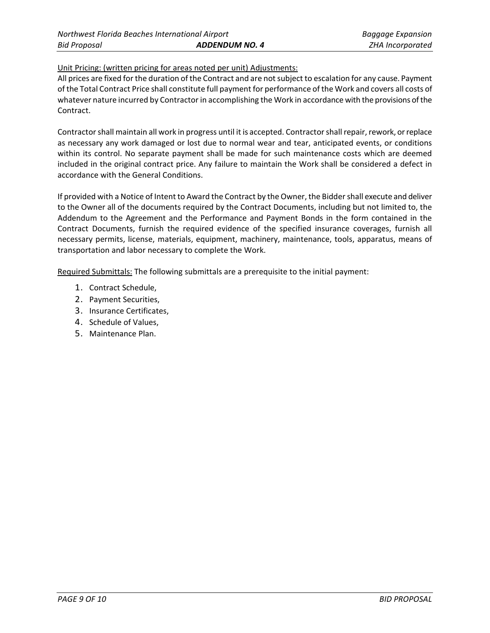Unit Pricing: (written pricing for areas noted per unit) Adjustments:

All prices are fixed for the duration of the Contract and are not subject to escalation for any cause. Payment of the Total Contract Price shall constitute full payment for performance of the Work and covers all costs of whatever nature incurred by Contractor in accomplishing the Work in accordance with the provisions of the Contract.

Contractor shall maintain all work in progress until it is accepted. Contractor shall repair, rework, or replace as necessary any work damaged or lost due to normal wear and tear, anticipated events, or conditions within its control. No separate payment shall be made for such maintenance costs which are deemed included in the original contract price. Any failure to maintain the Work shall be considered a defect in accordance with the General Conditions.

If provided with a Notice of Intent to Award the Contract by the Owner, the Bidder shall execute and deliver to the Owner all of the documents required by the Contract Documents, including but not limited to, the Addendum to the Agreement and the Performance and Payment Bonds in the form contained in the Contract Documents, furnish the required evidence of the specified insurance coverages, furnish all necessary permits, license, materials, equipment, machinery, maintenance, tools, apparatus, means of transportation and labor necessary to complete the Work.

Required Submittals: The following submittals are a prerequisite to the initial payment:

- 1. Contract Schedule,
- 2. Payment Securities,
- 3. Insurance Certificates,
- 4. Schedule of Values,
- 5. Maintenance Plan.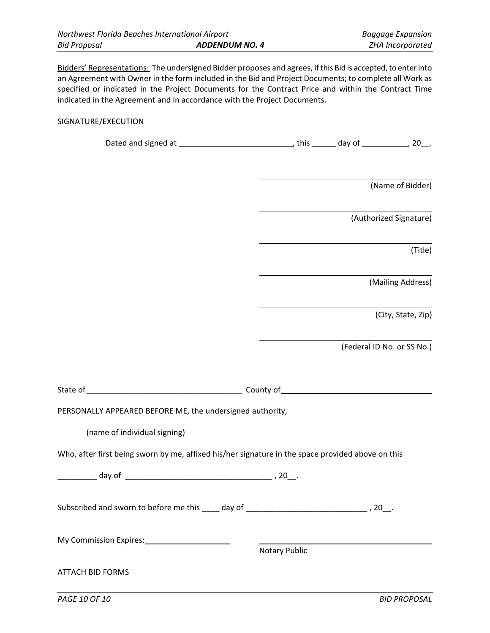Bidders' Representations: The undersigned Bidder proposes and agrees, if this Bid is accepted, to enter into an Agreement with Owner in the form included in the Bid and Project Documents; to complete all Work as specified or indicated in the Project Documents for the Contract Price and within the Contract Time indicated in the Agreement and in accordance with the Project Documents.

## SIGNATURE/EXECUTION

|                                                                                                   |                      | (Name of Bidder)           |
|---------------------------------------------------------------------------------------------------|----------------------|----------------------------|
|                                                                                                   |                      | (Authorized Signature)     |
|                                                                                                   |                      | (Title)                    |
|                                                                                                   |                      | (Mailing Address)          |
|                                                                                                   |                      | (City, State, Zip)         |
|                                                                                                   |                      | (Federal ID No. or SS No.) |
|                                                                                                   |                      |                            |
| PERSONALLY APPEARED BEFORE ME, the undersigned authority,                                         |                      |                            |
| (name of individual signing)                                                                      |                      |                            |
| Who, after first being sworn by me, affixed his/her signature in the space provided above on this |                      |                            |
|                                                                                                   |                      |                            |
|                                                                                                   |                      |                            |
| My Commission Expires: 1997 My Commission Expires:                                                | <b>Notary Public</b> |                            |
| <b>ATTACH BID FORMS</b>                                                                           |                      |                            |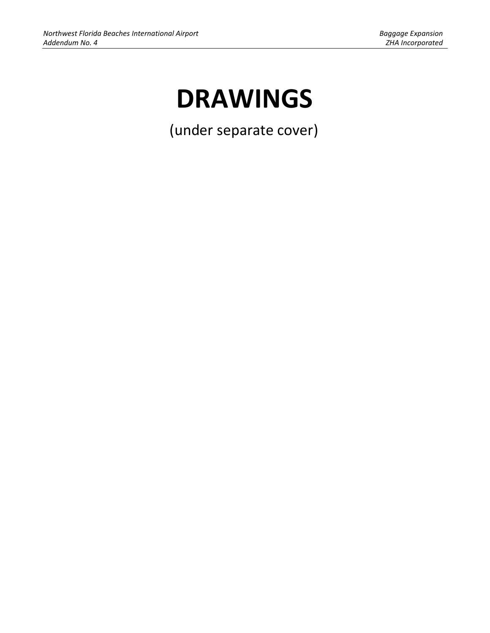# **DRAWINGS**

(under separate cover)